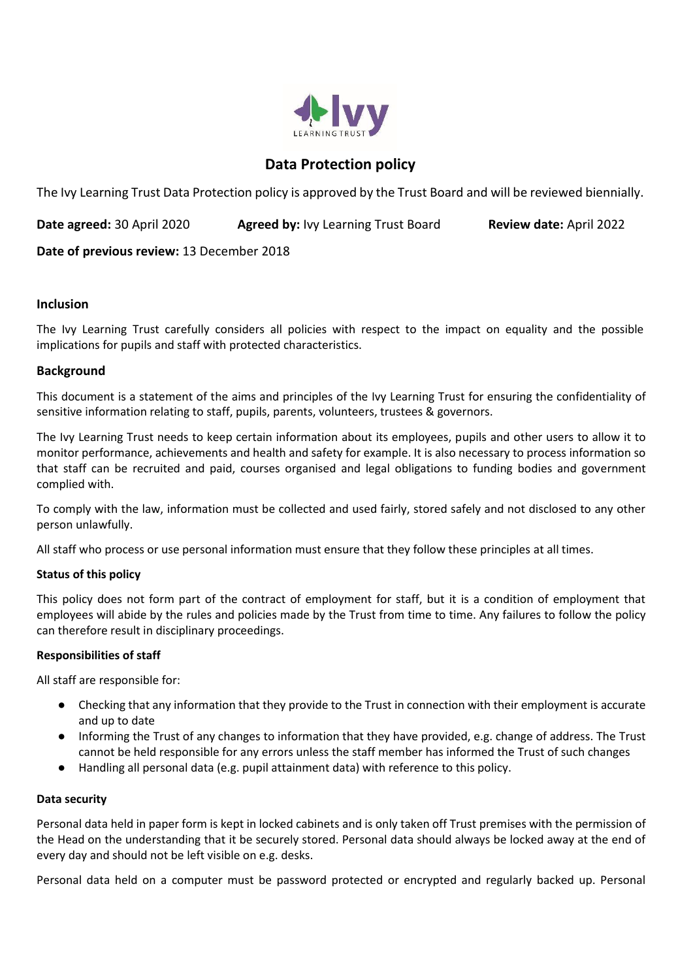

# **Data Protection policy**

The Ivy Learning Trust Data Protection policy is approved by the Trust Board and will be reviewed biennially.

**Date agreed:** 30 April 2020 **Agreed by:** Ivy Learning Trust Board **Review date:** April 2022

**Date of previous review:** 13 December 2018

### **Inclusion**

The Ivy Learning Trust carefully considers all policies with respect to the impact on equality and the possible implications for pupils and staff with protected characteristics.

### **Background**

This document is a statement of the aims and principles of the Ivy Learning Trust for ensuring the confidentiality of sensitive information relating to staff, pupils, parents, volunteers, trustees & governors.

The Ivy Learning Trust needs to keep certain information about its employees, pupils and other users to allow it to monitor performance, achievements and health and safety for example. It is also necessary to process information so that staff can be recruited and paid, courses organised and legal obligations to funding bodies and government complied with.

To comply with the law, information must be collected and used fairly, stored safely and not disclosed to any other person unlawfully.

All staff who process or use personal information must ensure that they follow these principles at all times.

#### **Status of this policy**

This policy does not form part of the contract of employment for staff, but it is a condition of employment that employees will abide by the rules and policies made by the Trust from time to time. Any failures to follow the policy can therefore result in disciplinary proceedings.

#### **Responsibilities of staff**

All staff are responsible for:

- Checking that any information that they provide to the Trust in connection with their employment is accurate and up to date
- Informing the Trust of any changes to information that they have provided, e.g. change of address. The Trust cannot be held responsible for any errors unless the staff member has informed the Trust of such changes
- Handling all personal data (e.g. pupil attainment data) with reference to this policy.

#### **Data security**

Personal data held in paper form is kept in locked cabinets and is only taken off Trust premises with the permission of the Head on the understanding that it be securely stored. Personal data should always be locked away at the end of every day and should not be left visible on e.g. desks.

Personal data held on a computer must be password protected or encrypted and regularly backed up. Personal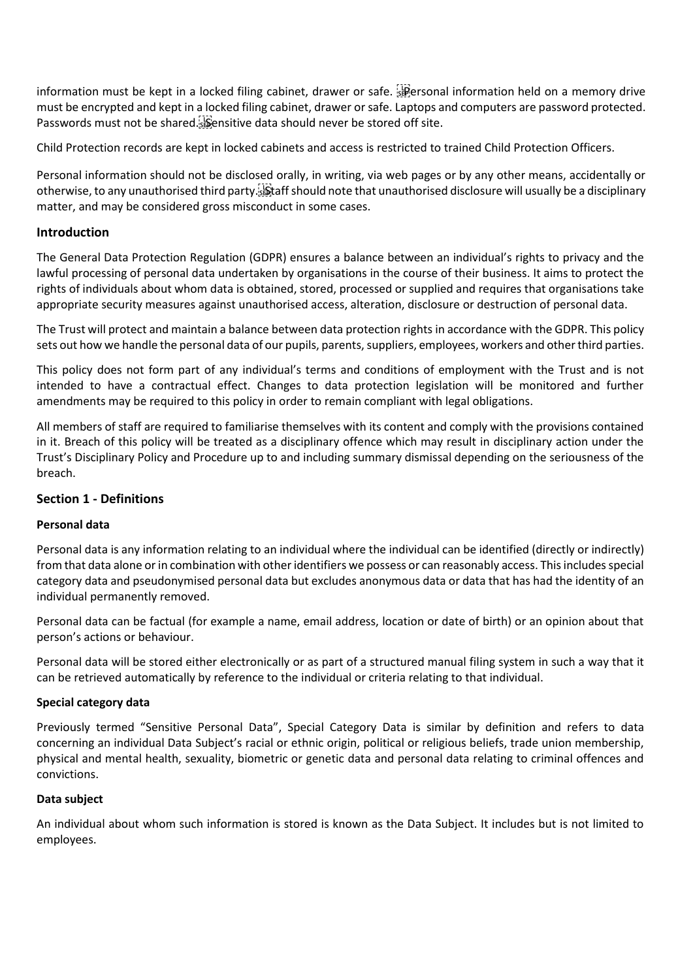information must be kept in a locked filing cabinet, drawer or safe. Personal information held on a memory drive must be encrypted and kept in a locked filing cabinet, drawer or safe. Laptops and computers are password protected. Passwords must not be shared. Sensitive data should never be stored off site.

Child Protection records are kept in locked cabinets and access is restricted to trained Child Protection Officers.

Personal information should not be disclosed orally, in writing, via web pages or by any other means, accidentally or otherwise, to any unauthorised third party. Staff should note that unauthorised disclosure will usually be a disciplinary matter, and may be considered gross misconduct in some cases.

## **Introduction**

The General Data Protection Regulation (GDPR) ensures a balance between an individual's rights to privacy and the lawful processing of personal data undertaken by organisations in the course of their business. It aims to protect the rights of individuals about whom data is obtained, stored, processed or supplied and requires that organisations take appropriate security measures against unauthorised access, alteration, disclosure or destruction of personal data.

The Trust will protect and maintain a balance between data protection rights in accordance with the GDPR. This policy sets out how we handle the personal data of our pupils, parents, suppliers, employees, workers and other third parties.

This policy does not form part of any individual's terms and conditions of employment with the Trust and is not intended to have a contractual effect. Changes to data protection legislation will be monitored and further amendments may be required to this policy in order to remain compliant with legal obligations.

All members of staff are required to familiarise themselves with its content and comply with the provisions contained in it. Breach of this policy will be treated as a disciplinary offence which may result in disciplinary action under the Trust's Disciplinary Policy and Procedure up to and including summary dismissal depending on the seriousness of the breach.

## **Section 1 - Definitions**

#### **Personal data**

Personal data is any information relating to an individual where the individual can be identified (directly or indirectly) from that data alone or in combination with other identifiers we possess or can reasonably access. This includes special category data and pseudonymised personal data but excludes anonymous data or data that has had the identity of an individual permanently removed.

Personal data can be factual (for example a name, email address, location or date of birth) or an opinion about that person's actions or behaviour.

Personal data will be stored either electronically or as part of a structured manual filing system in such a way that it can be retrieved automatically by reference to the individual or criteria relating to that individual.

#### **Special category data**

Previously termed "Sensitive Personal Data", Special Category Data is similar by definition and refers to data concerning an individual Data Subject's racial or ethnic origin, political or religious beliefs, trade union membership, physical and mental health, sexuality, biometric or genetic data and personal data relating to criminal offences and convictions.

#### **Data subject**

An individual about whom such information is stored is known as the Data Subject. It includes but is not limited to employees.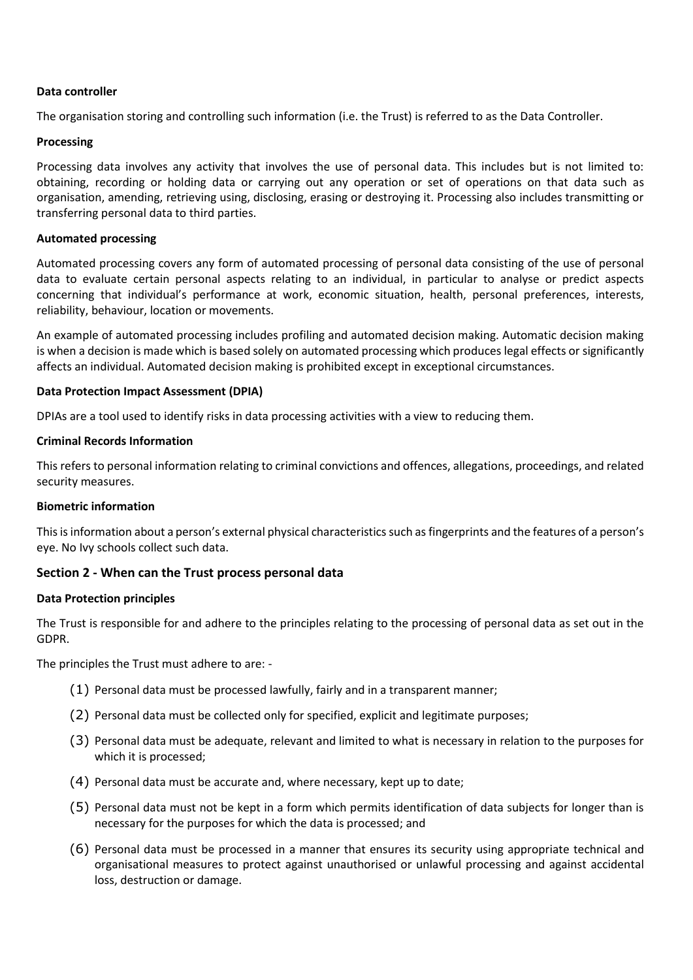#### **Data controller**

The organisation storing and controlling such information (i.e. the Trust) is referred to as the Data Controller.

#### **Processing**

Processing data involves any activity that involves the use of personal data. This includes but is not limited to: obtaining, recording or holding data or carrying out any operation or set of operations on that data such as organisation, amending, retrieving using, disclosing, erasing or destroying it. Processing also includes transmitting or transferring personal data to third parties.

#### **Automated processing**

Automated processing covers any form of automated processing of personal data consisting of the use of personal data to evaluate certain personal aspects relating to an individual, in particular to analyse or predict aspects concerning that individual's performance at work, economic situation, health, personal preferences, interests, reliability, behaviour, location or movements.

An example of automated processing includes profiling and automated decision making. Automatic decision making is when a decision is made which is based solely on automated processing which produces legal effects or significantly affects an individual. Automated decision making is prohibited except in exceptional circumstances.

### **Data Protection Impact Assessment (DPIA)**

DPIAs are a tool used to identify risks in data processing activities with a view to reducing them.

#### **Criminal Records Information**

This refers to personal information relating to criminal convictions and offences, allegations, proceedings, and related security measures.

#### **Biometric information**

This is information about a person's external physical characteristics such as fingerprints and the features of a person's eye. No Ivy schools collect such data.

#### **Section 2 - When can the Trust process personal data**

#### **Data Protection principles**

The Trust is responsible for and adhere to the principles relating to the processing of personal data as set out in the GDPR.

The principles the Trust must adhere to are: -

- (1) Personal data must be processed lawfully, fairly and in a transparent manner;
- (2) Personal data must be collected only for specified, explicit and legitimate purposes;
- (3) Personal data must be adequate, relevant and limited to what is necessary in relation to the purposes for which it is processed;
- (4) Personal data must be accurate and, where necessary, kept up to date;
- (5) Personal data must not be kept in a form which permits identification of data subjects for longer than is necessary for the purposes for which the data is processed; and
- (6) Personal data must be processed in a manner that ensures its security using appropriate technical and organisational measures to protect against unauthorised or unlawful processing and against accidental loss, destruction or damage.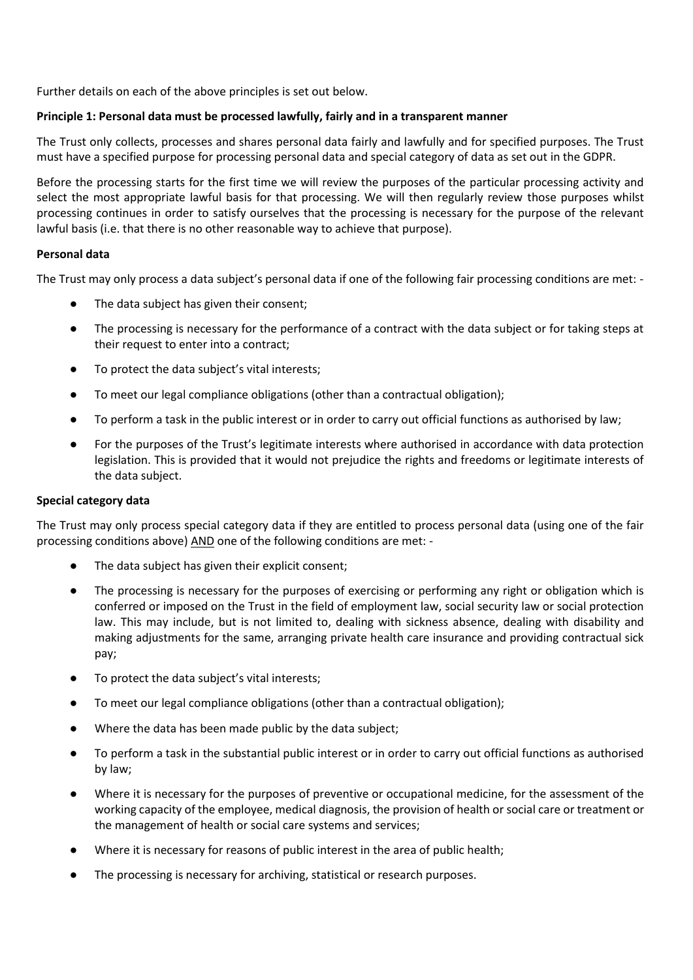Further details on each of the above principles is set out below.

## **Principle 1: Personal data must be processed lawfully, fairly and in a transparent manner**

The Trust only collects, processes and shares personal data fairly and lawfully and for specified purposes. The Trust must have a specified purpose for processing personal data and special category of data as set out in the GDPR.

Before the processing starts for the first time we will review the purposes of the particular processing activity and select the most appropriate lawful basis for that processing. We will then regularly review those purposes whilst processing continues in order to satisfy ourselves that the processing is necessary for the purpose of the relevant lawful basis (i.e. that there is no other reasonable way to achieve that purpose).

### **Personal data**

The Trust may only process a data subject's personal data if one of the following fair processing conditions are met: -

- The data subject has given their consent;
- The processing is necessary for the performance of a contract with the data subject or for taking steps at their request to enter into a contract;
- To protect the data subject's vital interests;
- To meet our legal compliance obligations (other than a contractual obligation);
- To perform a task in the public interest or in order to carry out official functions as authorised by law;
- For the purposes of the Trust's legitimate interests where authorised in accordance with data protection legislation. This is provided that it would not prejudice the rights and freedoms or legitimate interests of the data subject.

#### **Special category data**

The Trust may only process special category data if they are entitled to process personal data (using one of the fair processing conditions above) AND one of the following conditions are met: -

- The data subject has given their explicit consent;
- The processing is necessary for the purposes of exercising or performing any right or obligation which is conferred or imposed on the Trust in the field of employment law, social security law or social protection law. This may include, but is not limited to, dealing with sickness absence, dealing with disability and making adjustments for the same, arranging private health care insurance and providing contractual sick pay;
- To protect the data subject's vital interests;
- To meet our legal compliance obligations (other than a contractual obligation);
- Where the data has been made public by the data subject;
- To perform a task in the substantial public interest or in order to carry out official functions as authorised by law;
- Where it is necessary for the purposes of preventive or occupational medicine, for the assessment of the working capacity of the employee, medical diagnosis, the provision of health or social care or treatment or the management of health or social care systems and services;
- Where it is necessary for reasons of public interest in the area of public health;
- The processing is necessary for archiving, statistical or research purposes.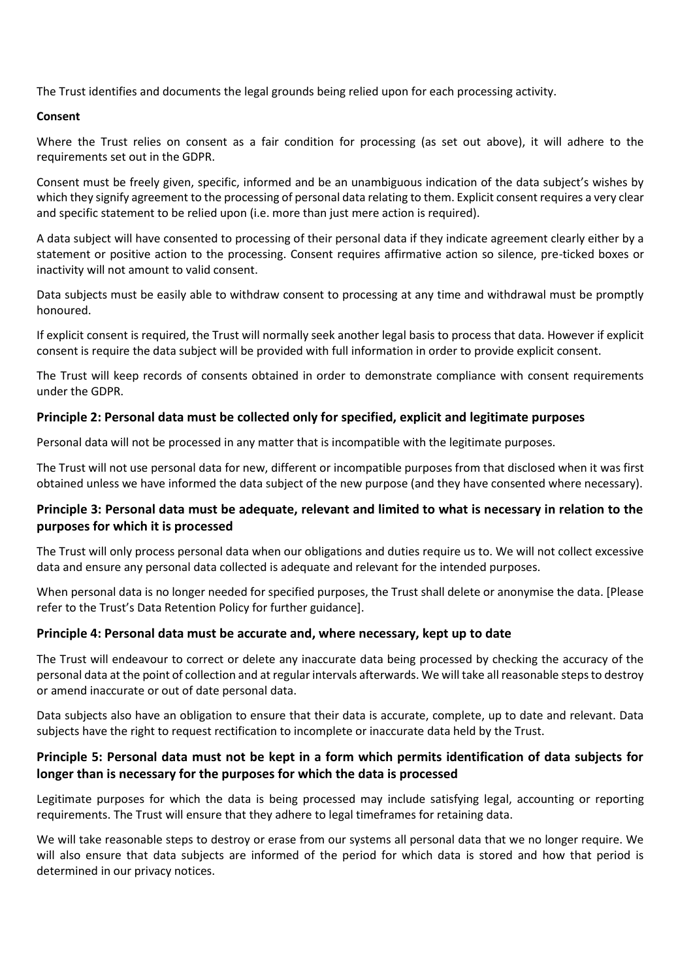The Trust identifies and documents the legal grounds being relied upon for each processing activity.

#### **Consent**

Where the Trust relies on consent as a fair condition for processing (as set out above), it will adhere to the requirements set out in the GDPR.

Consent must be freely given, specific, informed and be an unambiguous indication of the data subject's wishes by which they signify agreement to the processing of personal data relating to them. Explicit consent requires a very clear and specific statement to be relied upon (i.e. more than just mere action is required).

A data subject will have consented to processing of their personal data if they indicate agreement clearly either by a statement or positive action to the processing. Consent requires affirmative action so silence, pre-ticked boxes or inactivity will not amount to valid consent.

Data subjects must be easily able to withdraw consent to processing at any time and withdrawal must be promptly honoured.

If explicit consent is required, the Trust will normally seek another legal basis to process that data. However if explicit consent is require the data subject will be provided with full information in order to provide explicit consent.

The Trust will keep records of consents obtained in order to demonstrate compliance with consent requirements under the GDPR.

## **Principle 2: Personal data must be collected only for specified, explicit and legitimate purposes**

Personal data will not be processed in any matter that is incompatible with the legitimate purposes.

The Trust will not use personal data for new, different or incompatible purposes from that disclosed when it was first obtained unless we have informed the data subject of the new purpose (and they have consented where necessary).

## **Principle 3: Personal data must be adequate, relevant and limited to what is necessary in relation to the purposes for which it is processed**

The Trust will only process personal data when our obligations and duties require us to. We will not collect excessive data and ensure any personal data collected is adequate and relevant for the intended purposes.

When personal data is no longer needed for specified purposes, the Trust shall delete or anonymise the data. [Please refer to the Trust's Data Retention Policy for further guidance].

## **Principle 4: Personal data must be accurate and, where necessary, kept up to date**

The Trust will endeavour to correct or delete any inaccurate data being processed by checking the accuracy of the personal data at the point of collection and at regular intervals afterwards. We will take all reasonable steps to destroy or amend inaccurate or out of date personal data.

Data subjects also have an obligation to ensure that their data is accurate, complete, up to date and relevant. Data subjects have the right to request rectification to incomplete or inaccurate data held by the Trust.

## **Principle 5: Personal data must not be kept in a form which permits identification of data subjects for longer than is necessary for the purposes for which the data is processed**

Legitimate purposes for which the data is being processed may include satisfying legal, accounting or reporting requirements. The Trust will ensure that they adhere to legal timeframes for retaining data.

We will take reasonable steps to destroy or erase from our systems all personal data that we no longer require. We will also ensure that data subjects are informed of the period for which data is stored and how that period is determined in our privacy notices.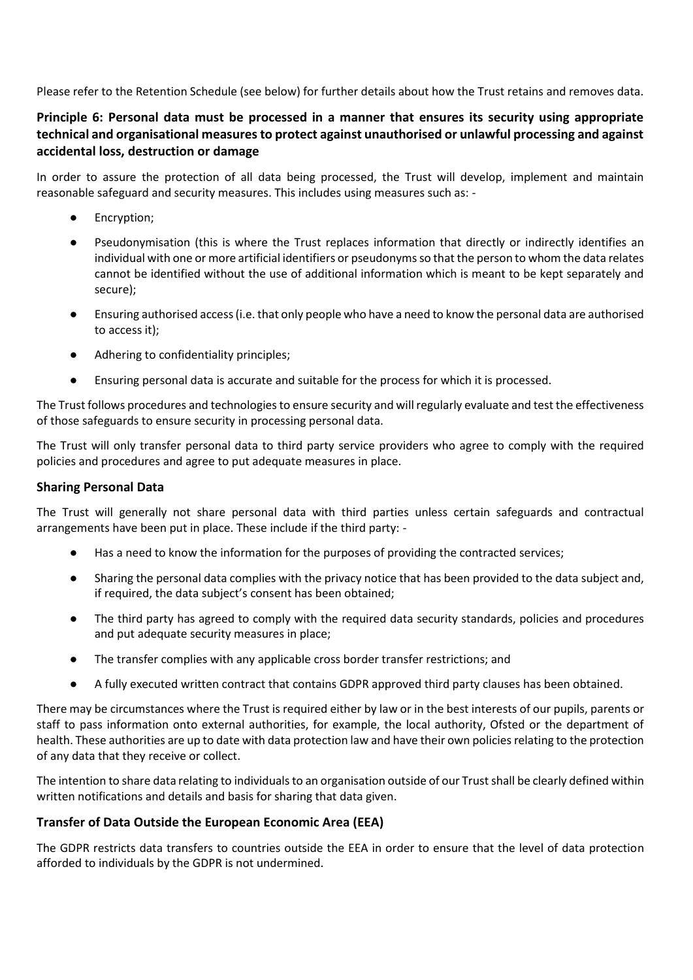Please refer to the Retention Schedule (see below) for further details about how the Trust retains and removes data.

# **Principle 6: Personal data must be processed in a manner that ensures its security using appropriate technical and organisational measures to protect against unauthorised or unlawful processing and against accidental loss, destruction or damage**

In order to assure the protection of all data being processed, the Trust will develop, implement and maintain reasonable safeguard and security measures. This includes using measures such as: -

- Encryption;
- Pseudonymisation (this is where the Trust replaces information that directly or indirectly identifies an individual with one or more artificial identifiers or pseudonyms so that the person to whom the data relates cannot be identified without the use of additional information which is meant to be kept separately and secure);
- Ensuring authorised access (i.e. that only people who have a need to know the personal data are authorised to access it);
- Adhering to confidentiality principles;
- Ensuring personal data is accurate and suitable for the process for which it is processed.

The Trust follows procedures and technologies to ensure security and will regularly evaluate and test the effectiveness of those safeguards to ensure security in processing personal data.

The Trust will only transfer personal data to third party service providers who agree to comply with the required policies and procedures and agree to put adequate measures in place.

## **Sharing Personal Data**

The Trust will generally not share personal data with third parties unless certain safeguards and contractual arrangements have been put in place. These include if the third party: -

- Has a need to know the information for the purposes of providing the contracted services;
- Sharing the personal data complies with the privacy notice that has been provided to the data subject and, if required, the data subject's consent has been obtained;
- The third party has agreed to comply with the required data security standards, policies and procedures and put adequate security measures in place;
- The transfer complies with any applicable cross border transfer restrictions; and
- A fully executed written contract that contains GDPR approved third party clauses has been obtained.

There may be circumstances where the Trust is required either by law or in the best interests of our pupils, parents or staff to pass information onto external authorities, for example, the local authority, Ofsted or the department of health. These authorities are up to date with data protection law and have their own policies relating to the protection of any data that they receive or collect.

The intention to share data relating to individuals to an organisation outside of our Trust shall be clearly defined within written notifications and details and basis for sharing that data given.

## **Transfer of Data Outside the European Economic Area (EEA)**

The GDPR restricts data transfers to countries outside the EEA in order to ensure that the level of data protection afforded to individuals by the GDPR is not undermined.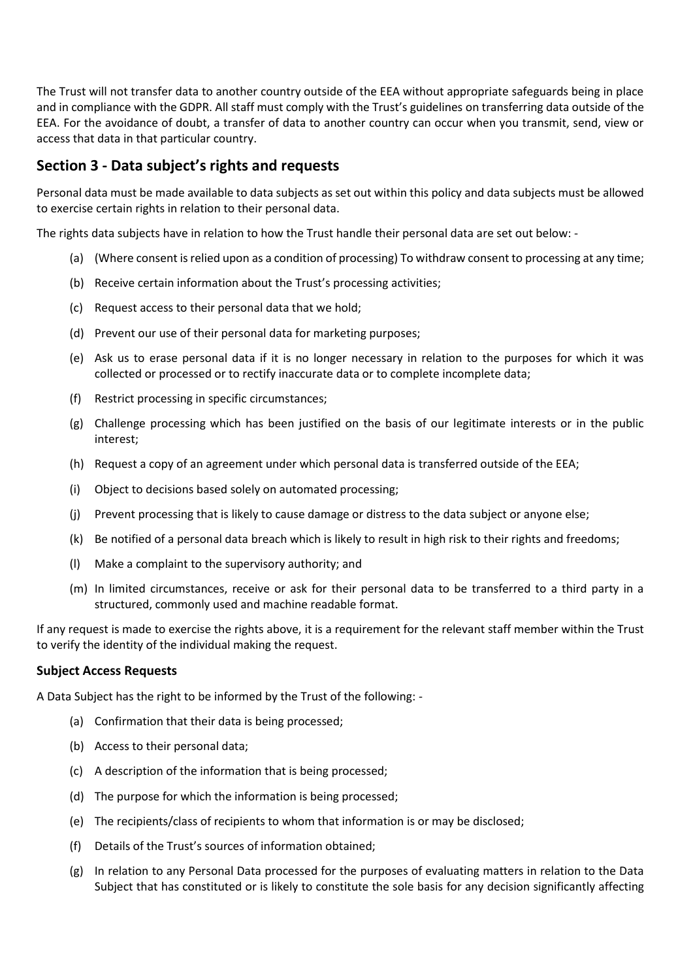The Trust will not transfer data to another country outside of the EEA without appropriate safeguards being in place and in compliance with the GDPR. All staff must comply with the Trust's guidelines on transferring data outside of the EEA. For the avoidance of doubt, a transfer of data to another country can occur when you transmit, send, view or access that data in that particular country.

# **Section 3 - Data subject's rights and requests**

Personal data must be made available to data subjects as set out within this policy and data subjects must be allowed to exercise certain rights in relation to their personal data.

The rights data subjects have in relation to how the Trust handle their personal data are set out below: -

- (a) (Where consent is relied upon as a condition of processing) To withdraw consent to processing at any time;
- (b) Receive certain information about the Trust's processing activities;
- (c) Request access to their personal data that we hold;
- (d) Prevent our use of their personal data for marketing purposes;
- (e) Ask us to erase personal data if it is no longer necessary in relation to the purposes for which it was collected or processed or to rectify inaccurate data or to complete incomplete data;
- (f) Restrict processing in specific circumstances;
- (g) Challenge processing which has been justified on the basis of our legitimate interests or in the public interest;
- (h) Request a copy of an agreement under which personal data is transferred outside of the EEA;
- (i) Object to decisions based solely on automated processing;
- (j) Prevent processing that is likely to cause damage or distress to the data subject or anyone else;
- (k) Be notified of a personal data breach which is likely to result in high risk to their rights and freedoms;
- (l) Make a complaint to the supervisory authority; and
- (m) In limited circumstances, receive or ask for their personal data to be transferred to a third party in a structured, commonly used and machine readable format.

If any request is made to exercise the rights above, it is a requirement for the relevant staff member within the Trust to verify the identity of the individual making the request.

#### **Subject Access Requests**

A Data Subject has the right to be informed by the Trust of the following: -

- (a) Confirmation that their data is being processed;
- (b) Access to their personal data;
- (c) A description of the information that is being processed;
- (d) The purpose for which the information is being processed;
- (e) The recipients/class of recipients to whom that information is or may be disclosed;
- (f) Details of the Trust's sources of information obtained;
- (g) In relation to any Personal Data processed for the purposes of evaluating matters in relation to the Data Subject that has constituted or is likely to constitute the sole basis for any decision significantly affecting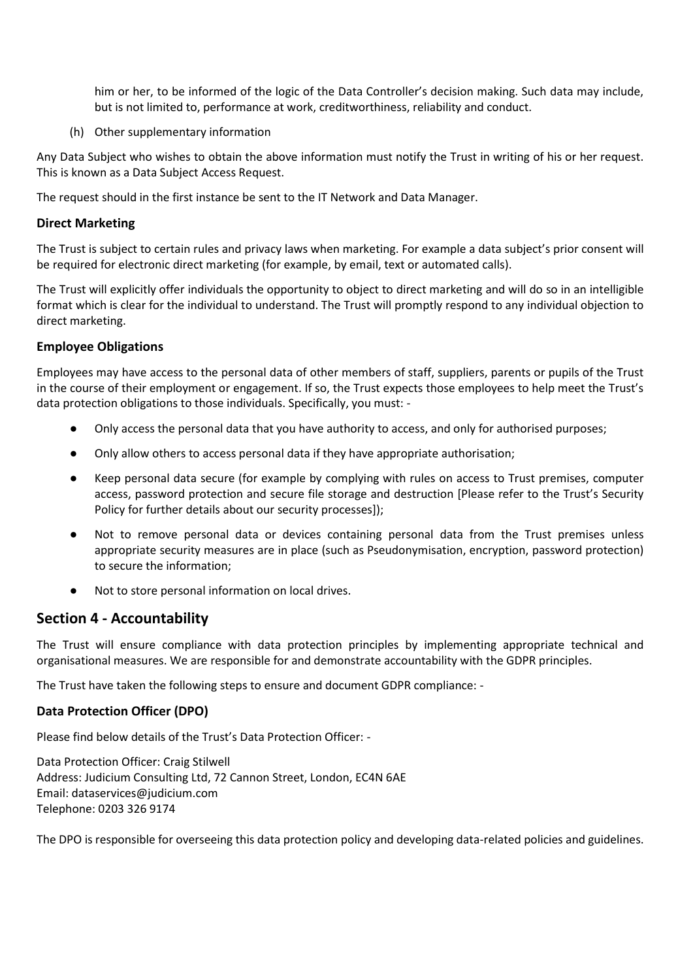him or her, to be informed of the logic of the Data Controller's decision making. Such data may include, but is not limited to, performance at work, creditworthiness, reliability and conduct.

(h) Other supplementary information

Any Data Subject who wishes to obtain the above information must notify the Trust in writing of his or her request. This is known as a Data Subject Access Request.

The request should in the first instance be sent to the IT Network and Data Manager.

## **Direct Marketing**

The Trust is subject to certain rules and privacy laws when marketing. For example a data subject's prior consent will be required for electronic direct marketing (for example, by email, text or automated calls).

The Trust will explicitly offer individuals the opportunity to object to direct marketing and will do so in an intelligible format which is clear for the individual to understand. The Trust will promptly respond to any individual objection to direct marketing.

### **Employee Obligations**

Employees may have access to the personal data of other members of staff, suppliers, parents or pupils of the Trust in the course of their employment or engagement. If so, the Trust expects those employees to help meet the Trust's data protection obligations to those individuals. Specifically, you must: -

- Only access the personal data that you have authority to access, and only for authorised purposes;
- Only allow others to access personal data if they have appropriate authorisation;
- Keep personal data secure (for example by complying with rules on access to Trust premises, computer access, password protection and secure file storage and destruction [Please refer to the Trust's Security Policy for further details about our security processes]);
- Not to remove personal data or devices containing personal data from the Trust premises unless appropriate security measures are in place (such as Pseudonymisation, encryption, password protection) to secure the information;
- Not to store personal information on local drives.

# **Section 4 - Accountability**

The Trust will ensure compliance with data protection principles by implementing appropriate technical and organisational measures. We are responsible for and demonstrate accountability with the GDPR principles.

The Trust have taken the following steps to ensure and document GDPR compliance: -

## **Data Protection Officer (DPO)**

Please find below details of the Trust's Data Protection Officer: -

Data Protection Officer: Craig Stilwell Address: Judicium Consulting Ltd, 72 Cannon Street, London, EC4N 6AE Email[: dataservices@judicium.com](mailto:dataservices@judicium.com) Telephone: 0203 326 9174

The DPO is responsible for overseeing this data protection policy and developing data-related policies and guidelines.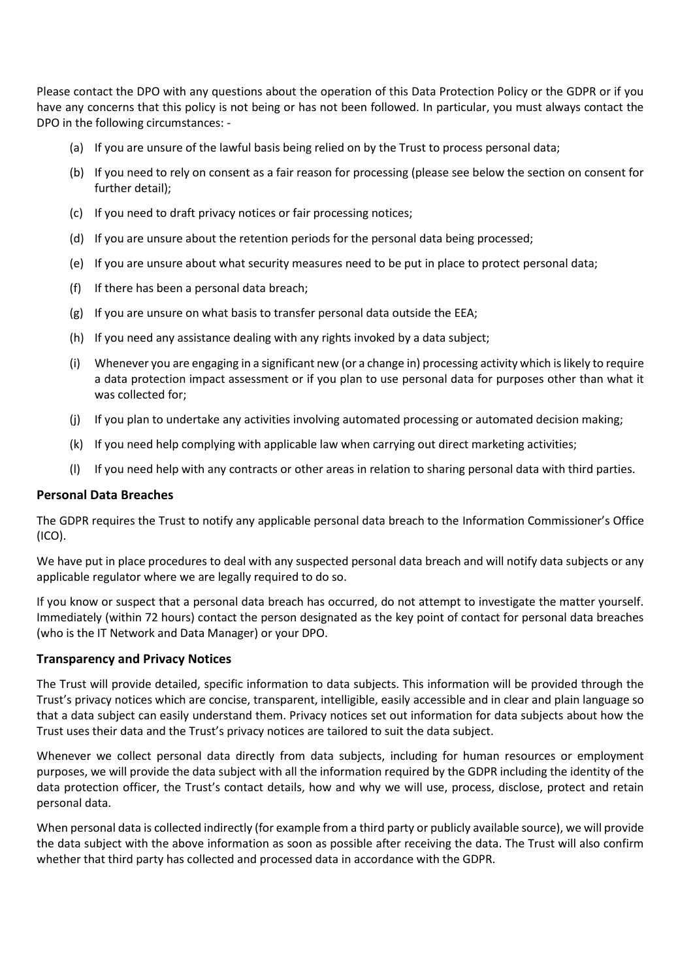Please contact the DPO with any questions about the operation of this Data Protection Policy or the GDPR or if you have any concerns that this policy is not being or has not been followed. In particular, you must always contact the DPO in the following circumstances: -

- (a) If you are unsure of the lawful basis being relied on by the Trust to process personal data;
- (b) If you need to rely on consent as a fair reason for processing (please see below the section on consent for further detail);
- (c) If you need to draft privacy notices or fair processing notices;
- (d) If you are unsure about the retention periods for the personal data being processed;
- (e) If you are unsure about what security measures need to be put in place to protect personal data;
- (f) If there has been a personal data breach;
- (g) If you are unsure on what basis to transfer personal data outside the EEA;
- (h) If you need any assistance dealing with any rights invoked by a data subject;
- (i) Whenever you are engaging in a significant new (or a change in) processing activity which is likely to require a data protection impact assessment or if you plan to use personal data for purposes other than what it was collected for;
- (j) If you plan to undertake any activities involving automated processing or automated decision making;
- (k) If you need help complying with applicable law when carrying out direct marketing activities;
- (l) If you need help with any contracts or other areas in relation to sharing personal data with third parties.

#### **Personal Data Breaches**

The GDPR requires the Trust to notify any applicable personal data breach to the Information Commissioner's Office (ICO).

We have put in place procedures to deal with any suspected personal data breach and will notify data subjects or any applicable regulator where we are legally required to do so.

If you know or suspect that a personal data breach has occurred, do not attempt to investigate the matter yourself. Immediately (within 72 hours) contact the person designated as the key point of contact for personal data breaches (who is the IT Network and Data Manager) or your DPO.

## **Transparency and Privacy Notices**

The Trust will provide detailed, specific information to data subjects. This information will be provided through the Trust's privacy notices which are concise, transparent, intelligible, easily accessible and in clear and plain language so that a data subject can easily understand them. Privacy notices set out information for data subjects about how the Trust uses their data and the Trust's privacy notices are tailored to suit the data subject.

Whenever we collect personal data directly from data subjects, including for human resources or employment purposes, we will provide the data subject with all the information required by the GDPR including the identity of the data protection officer, the Trust's contact details, how and why we will use, process, disclose, protect and retain personal data.

When personal data is collected indirectly (for example from a third party or publicly available source), we will provide the data subject with the above information as soon as possible after receiving the data. The Trust will also confirm whether that third party has collected and processed data in accordance with the GDPR.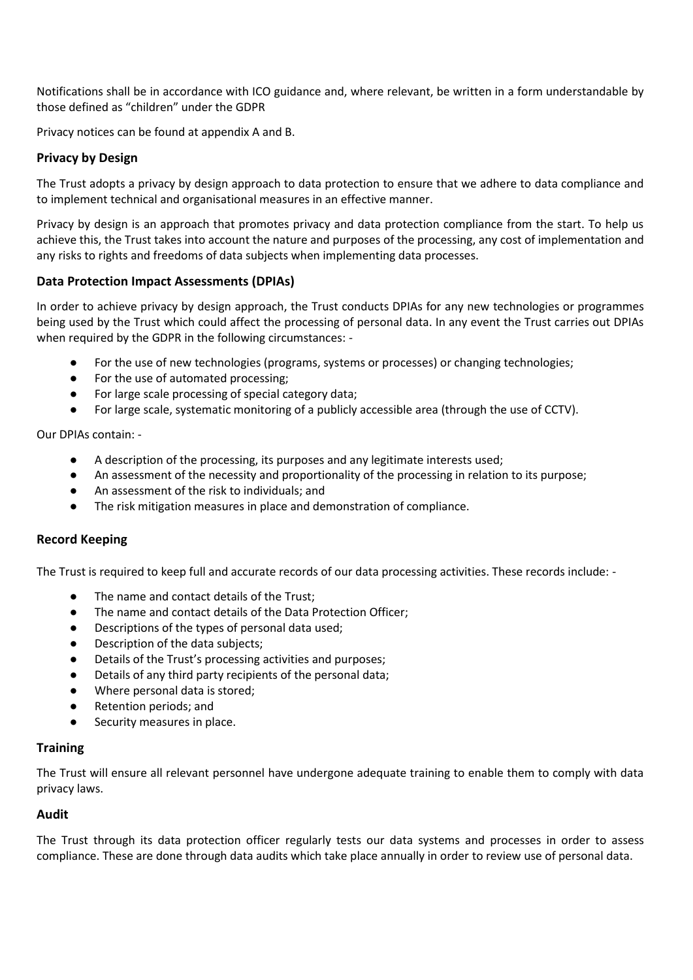Notifications shall be in accordance with ICO guidance and, where relevant, be written in a form understandable by those defined as "children" under the GDPR

Privacy notices can be found at appendix A and B.

## **Privacy by Design**

The Trust adopts a privacy by design approach to data protection to ensure that we adhere to data compliance and to implement technical and organisational measures in an effective manner.

Privacy by design is an approach that promotes privacy and data protection compliance from the start. To help us achieve this, the Trust takes into account the nature and purposes of the processing, any cost of implementation and any risks to rights and freedoms of data subjects when implementing data processes.

### **Data Protection Impact Assessments (DPIAs)**

In order to achieve privacy by design approach, the Trust conducts DPIAs for any new technologies or programmes being used by the Trust which could affect the processing of personal data. In any event the Trust carries out DPIAs when required by the GDPR in the following circumstances: -

- For the use of new technologies (programs, systems or processes) or changing technologies;
- For the use of automated processing;
- For large scale processing of special category data;
- For large scale, systematic monitoring of a publicly accessible area (through the use of CCTV).

Our DPIAs contain: -

- A description of the processing, its purposes and any legitimate interests used;
- An assessment of the necessity and proportionality of the processing in relation to its purpose;
- An assessment of the risk to individuals; and
- The risk mitigation measures in place and demonstration of compliance.

#### **Record Keeping**

The Trust is required to keep full and accurate records of our data processing activities. These records include: -

- The name and contact details of the Trust;
- The name and contact details of the Data Protection Officer;
- Descriptions of the types of personal data used;
- Description of the data subjects:
- Details of the Trust's processing activities and purposes:
- Details of any third party recipients of the personal data;
- Where personal data is stored;
- Retention periods; and
- Security measures in place.

## **Training**

The Trust will ensure all relevant personnel have undergone adequate training to enable them to comply with data privacy laws.

#### **Audit**

The Trust through its data protection officer regularly tests our data systems and processes in order to assess compliance. These are done through data audits which take place annually in order to review use of personal data.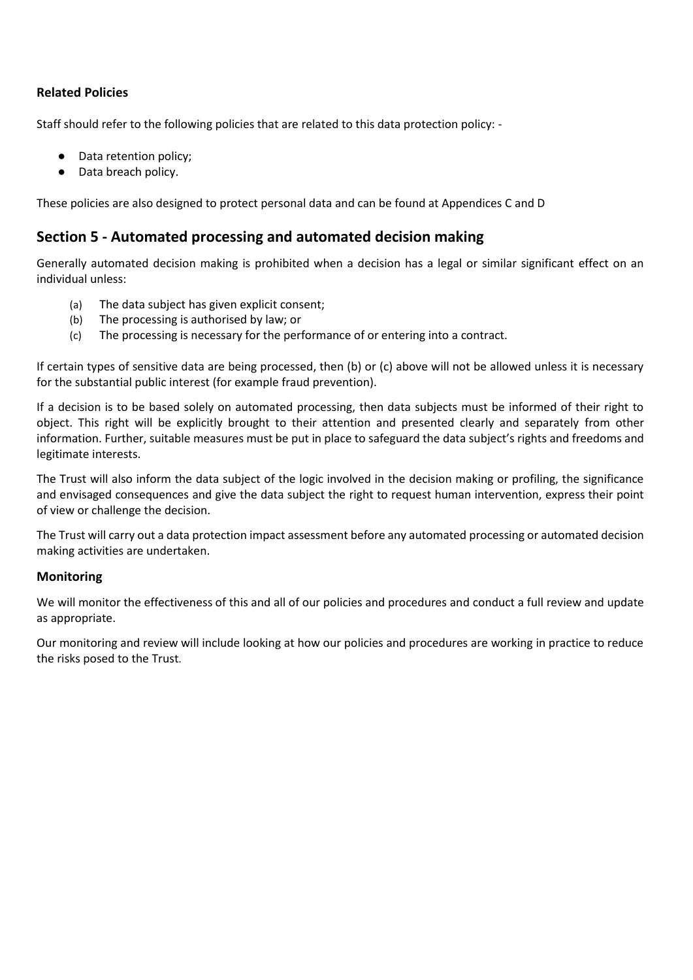## **Related Policies**

Staff should refer to the following policies that are related to this data protection policy: -

- Data retention policy;
- Data breach policy.

These policies are also designed to protect personal data and can be found at Appendices C and D

# **Section 5 - Automated processing and automated decision making**

Generally automated decision making is prohibited when a decision has a legal or similar significant effect on an individual unless:

- (a) The data subject has given explicit consent;
- (b) The processing is authorised by law; or
- (c) The processing is necessary for the performance of or entering into a contract.

If certain types of sensitive data are being processed, then (b) or (c) above will not be allowed unless it is necessary for the substantial public interest (for example fraud prevention).

If a decision is to be based solely on automated processing, then data subjects must be informed of their right to object. This right will be explicitly brought to their attention and presented clearly and separately from other information. Further, suitable measures must be put in place to safeguard the data subject's rights and freedoms and legitimate interests.

The Trust will also inform the data subject of the logic involved in the decision making or profiling, the significance and envisaged consequences and give the data subject the right to request human intervention, express their point of view or challenge the decision.

The Trust will carry out a data protection impact assessment before any automated processing or automated decision making activities are undertaken.

## **Monitoring**

We will monitor the effectiveness of this and all of our policies and procedures and conduct a full review and update as appropriate.

Our monitoring and review will include looking at how our policies and procedures are working in practice to reduce the risks posed to the Trust.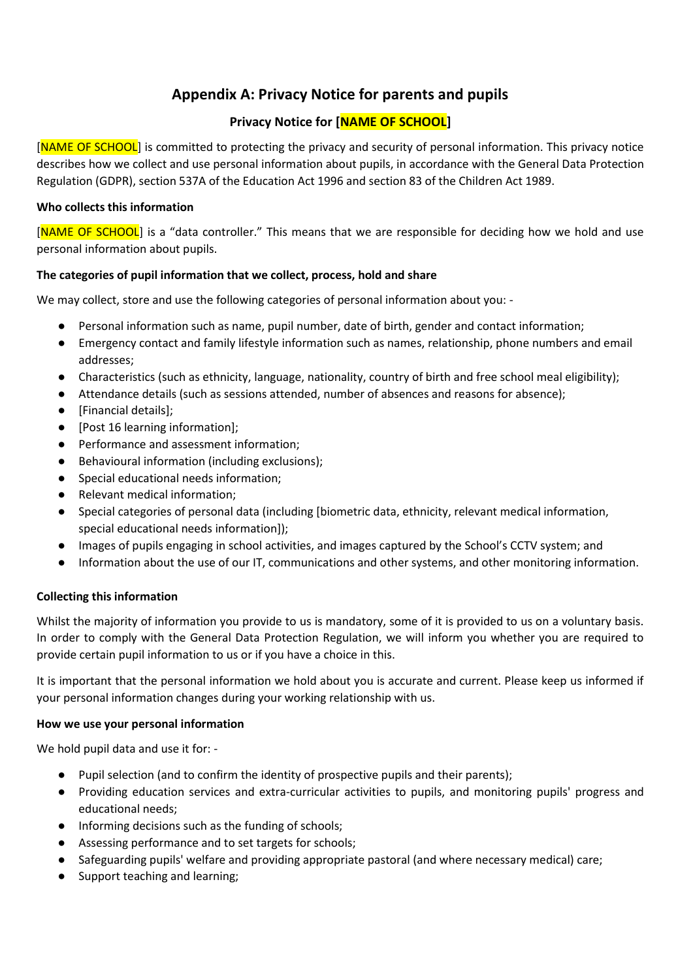# **Appendix A: Privacy Notice for parents and pupils**

# **Privacy Notice for [NAME OF SCHOOL]**

[NAME OF SCHOOL] is committed to protecting the privacy and security of personal information. This privacy notice describes how we collect and use personal information about pupils, in accordance with the General Data Protection Regulation (GDPR), section 537A of the Education Act 1996 and section 83 of the Children Act 1989.

## **Who collects this information**

[NAME OF SCHOOL] is a "data controller." This means that we are responsible for deciding how we hold and use personal information about pupils.

## **The categories of pupil information that we collect, process, hold and share**

We may collect, store and use the following categories of personal information about you: -

- Personal information such as name, pupil number, date of birth, gender and contact information;
- Emergency contact and family lifestyle information such as names, relationship, phone numbers and email addresses;
- Characteristics (such as ethnicity, language, nationality, country of birth and free school meal eligibility);
- Attendance details (such as sessions attended, number of absences and reasons for absence);
- [Financial details];
- [Post 16 learning information];
- Performance and assessment information;
- Behavioural information (including exclusions);
- Special educational needs information;
- Relevant medical information;
- Special categories of personal data (including [biometric data, ethnicity, relevant medical information, special educational needs information]);
- Images of pupils engaging in school activities, and images captured by the School's CCTV system; and
- Information about the use of our IT, communications and other systems, and other monitoring information.

## **Collecting this information**

Whilst the majority of information you provide to us is mandatory, some of it is provided to us on a voluntary basis. In order to comply with the General Data Protection Regulation, we will inform you whether you are required to provide certain pupil information to us or if you have a choice in this.

It is important that the personal information we hold about you is accurate and current. Please keep us informed if your personal information changes during your working relationship with us.

## **How we use your personal information**

We hold pupil data and use it for: -

- Pupil selection (and to confirm the identity of prospective pupils and their parents);
- Providing education services and extra-curricular activities to pupils, and monitoring pupils' progress and educational needs;
- Informing decisions such as the funding of schools;
- Assessing performance and to set targets for schools;
- Safeguarding pupils' welfare and providing appropriate pastoral (and where necessary medical) care;
- Support teaching and learning;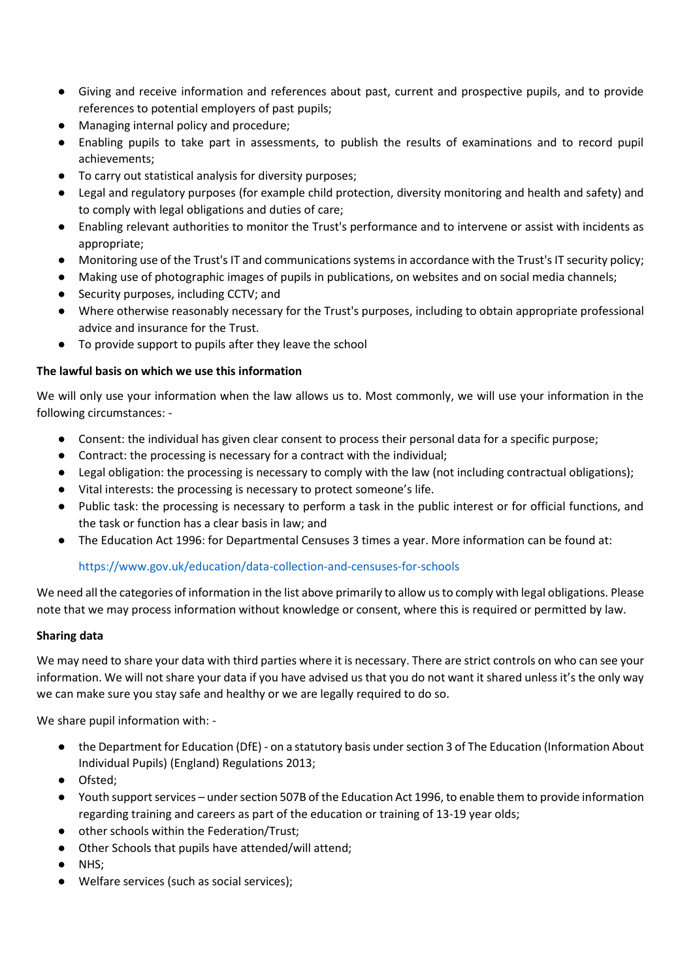- Giving and receive information and references about past, current and prospective pupils, and to provide references to potential employers of past pupils;
- Managing internal policy and procedure;
- Enabling pupils to take part in assessments, to publish the results of examinations and to record pupil achievements;
- To carry out statistical analysis for diversity purposes;
- Legal and regulatory purposes (for example child protection, diversity monitoring and health and safety) and to comply with legal obligations and duties of care;
- Enabling relevant authorities to monitor the Trust's performance and to intervene or assist with incidents as appropriate;
- Monitoring use of the Trust's IT and communications systems in accordance with the Trust's IT security policy;
- Making use of photographic images of pupils in publications, on websites and on social media channels;
- Security purposes, including CCTV; and
- Where otherwise reasonably necessary for the Trust's purposes, including to obtain appropriate professional advice and insurance for the Trust.
- To provide support to pupils after they leave the school

### **The lawful basis on which we use this information**

We will only use your information when the law allows us to. Most commonly, we will use your information in the following circumstances: -

- Consent: the individual has given clear consent to process their personal data for a specific purpose;
- Contract: the processing is necessary for a contract with the individual;
- Legal obligation: the processing is necessary to comply with the law (not including contractual obligations);
- Vital interests: the processing is necessary to protect someone's life.
- Public task: the processing is necessary to perform a task in the public interest or for official functions, and the task or function has a clear basis in law; and
- The Education Act 1996: for Departmental Censuses 3 times a year. More information can be found at:

## <https://www.gov.uk/education/data-collection-and-censuses-for-schools>

We need all the categories of information in the list above primarily to allow us to comply with legal obligations. Please note that we may process information without knowledge or consent, where this is required or permitted by law.

#### **Sharing data**

We may need to share your data with third parties where it is necessary. There are strict controls on who can see your information. We will not share your data if you have advised us that you do not want it shared unless it's the only way we can make sure you stay safe and healthy or we are legally required to do so.

We share pupil information with: -

- the Department for Education (DfE) on a statutory basis under section 3 of The Education (Information About Individual Pupils) (England) Regulations 2013;
- Ofsted;
- Youth support services under section 507B of the Education Act 1996, to enable them to provide information regarding training and careers as part of the education or training of 13-19 year olds;
- other schools within the Federation/Trust;
- Other Schools that pupils have attended/will attend;
- NHS;
- Welfare services (such as social services);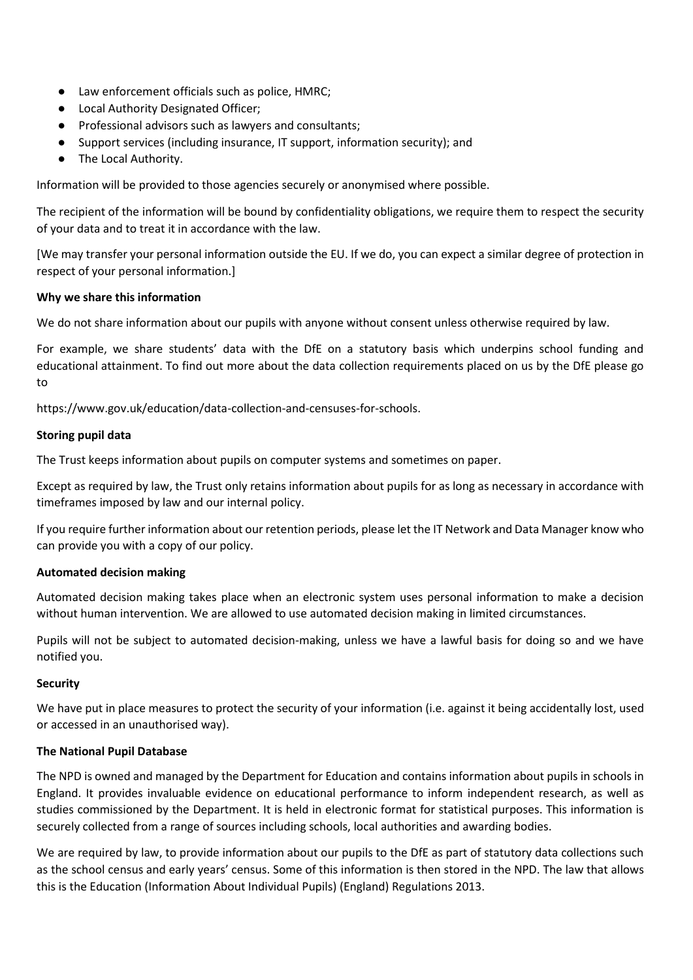- Law enforcement officials such as police, HMRC;
- Local Authority Designated Officer;
- Professional advisors such as lawyers and consultants;
- Support services (including insurance, IT support, information security); and
- The Local Authority.

Information will be provided to those agencies securely or anonymised where possible.

The recipient of the information will be bound by confidentiality obligations, we require them to respect the security of your data and to treat it in accordance with the law.

[We may transfer your personal information outside the EU. If we do, you can expect a similar degree of protection in respect of your personal information.]

### **Why we share this information**

We do not share information about our pupils with anyone without consent unless otherwise required by law.

For example, we share students' data with the DfE on a statutory basis which underpins school funding and educational attainment. To find out more about the data collection requirements placed on us by the DfE please go to

https://www.gov.uk/education/data-collection-and-censuses-for-schools.

### **Storing pupil data**

The Trust keeps information about pupils on computer systems and sometimes on paper.

Except as required by law, the Trust only retains information about pupils for as long as necessary in accordance with timeframes imposed by law and our internal policy.

If you require further information about our retention periods, please let the IT Network and Data Manager know who can provide you with a copy of our policy.

## **Automated decision making**

Automated decision making takes place when an electronic system uses personal information to make a decision without human intervention. We are allowed to use automated decision making in limited circumstances.

Pupils will not be subject to automated decision-making, unless we have a lawful basis for doing so and we have notified you.

## **Security**

We have put in place measures to protect the security of your information (i.e. against it being accidentally lost, used or accessed in an unauthorised way).

#### **The National Pupil Database**

The NPD is owned and managed by the Department for Education and contains information about pupils in schools in England. It provides invaluable evidence on educational performance to inform independent research, as well as studies commissioned by the Department. It is held in electronic format for statistical purposes. This information is securely collected from a range of sources including schools, local authorities and awarding bodies.

We are required by law, to provide information about our pupils to the DfE as part of statutory data collections such as the school census and early years' census. Some of this information is then stored in the NPD. The law that allows this is the Education (Information About Individual Pupils) (England) Regulations 2013.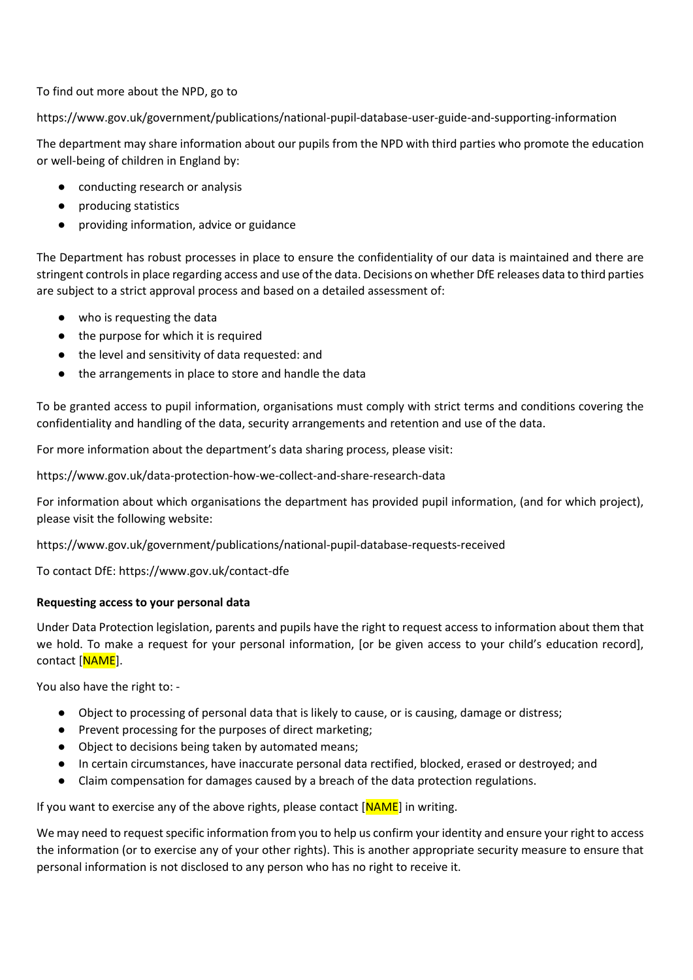To find out more about the NPD, go to

<https://www.gov.uk/government/publications/national-pupil-database-user-guide-and-supporting-information>

The department may share information about our pupils from the NPD with third parties who promote the education or well-being of children in England by:

- conducting research or analysis
- producing statistics
- providing information, advice or guidance

The Department has robust processes in place to ensure the confidentiality of our data is maintained and there are stringent controls in place regarding access and use of the data. Decisions on whether DfE releases data to third parties are subject to a strict approval process and based on a detailed assessment of:

- who is requesting the data
- the purpose for which it is required
- the level and sensitivity of data requested: and
- the arrangements in place to store and handle the data

To be granted access to pupil information, organisations must comply with strict terms and conditions covering the confidentiality and handling of the data, security arrangements and retention and use of the data.

For more information about the department's data sharing process, please visit:

<https://www.gov.uk/data-protection-how-we-collect-and-share-research-data>

For information about which organisations the department has provided pupil information, (and for which project), please visit the following website:

<https://www.gov.uk/government/publications/national-pupil-database-requests-received>

To contact DfE:<https://www.gov.uk/contact-dfe>

#### **Requesting access to your personal data**

Under Data Protection legislation, parents and pupils have the right to request access to information about them that we hold. To make a request for your personal information, [or be given access to your child's education record], contact [NAME].

You also have the right to: -

- Object to processing of personal data that is likely to cause, or is causing, damage or distress;
- Prevent processing for the purposes of direct marketing;
- Object to decisions being taken by automated means;
- In certain circumstances, have inaccurate personal data rectified, blocked, erased or destroyed; and
- Claim compensation for damages caused by a breach of the data protection regulations.

If you want to exercise any of the above rights, please contact  $[NAME]$  in writing.

We may need to request specific information from you to help us confirm your identity and ensure your right to access the information (or to exercise any of your other rights). This is another appropriate security measure to ensure that personal information is not disclosed to any person who has no right to receive it.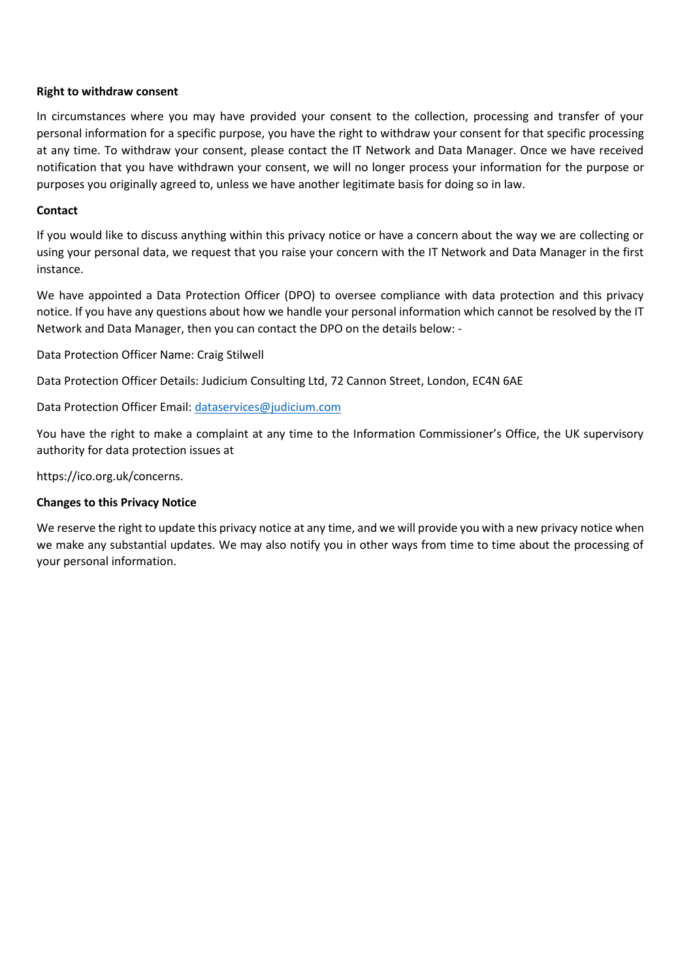#### **Right to withdraw consent**

In circumstances where you may have provided your consent to the collection, processing and transfer of your personal information for a specific purpose, you have the right to withdraw your consent for that specific processing at any time. To withdraw your consent, please contact the IT Network and Data Manager. Once we have received notification that you have withdrawn your consent, we will no longer process your information for the purpose or purposes you originally agreed to, unless we have another legitimate basis for doing so in law.

#### **Contact**

If you would like to discuss anything within this privacy notice or have a concern about the way we are collecting or using your personal data, we request that you raise your concern with the IT Network and Data Manager in the first instance.

We have appointed a Data Protection Officer (DPO) to oversee compliance with data protection and this privacy notice. If you have any questions about how we handle your personal information which cannot be resolved by the IT Network and Data Manager, then you can contact the DPO on the details below: -

Data Protection Officer Name: Craig Stilwell

Data Protection Officer Details: Judicium Consulting Ltd, 72 Cannon Street, London, EC4N 6AE

Data Protection Officer Email: [dataservices@judicium.com](mailto:dataservices@judicium.com)

You have the right to make a complaint at any time to the Information Commissioner's Office, the UK supervisory authority for data protection issues at

https://ico.org.uk/concerns.

#### **Changes to this Privacy Notice**

We reserve the right to update this privacy notice at any time, and we will provide you with a new privacy notice when we make any substantial updates. We may also notify you in other ways from time to time about the processing of your personal information.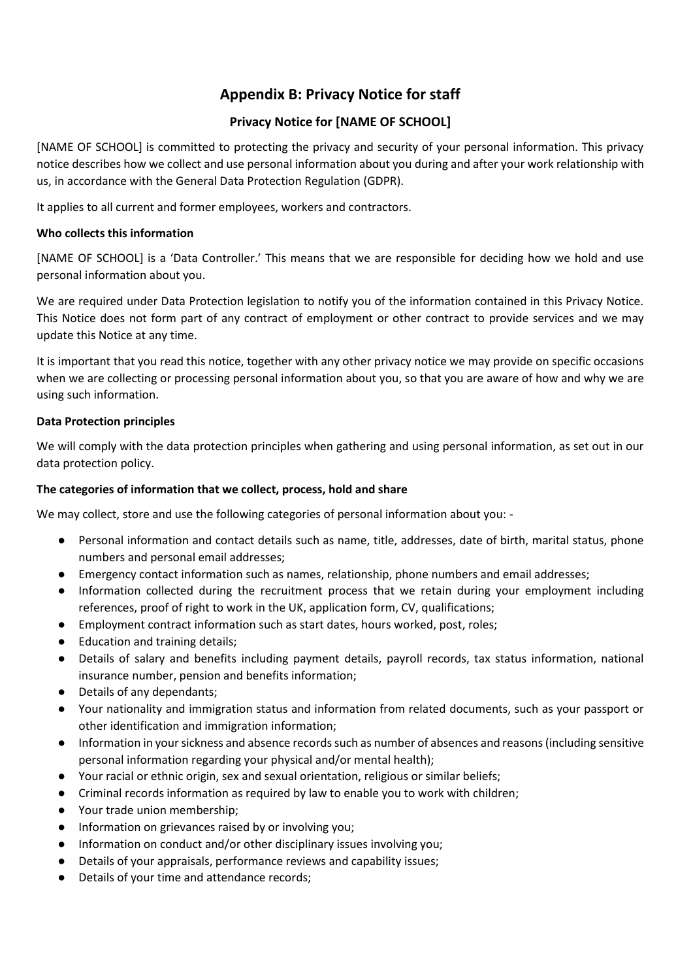# **Appendix B: Privacy Notice for staff**

# **Privacy Notice for [NAME OF SCHOOL]**

[NAME OF SCHOOL] is committed to protecting the privacy and security of your personal information. This privacy notice describes how we collect and use personal information about you during and after your work relationship with us, in accordance with the General Data Protection Regulation (GDPR).

It applies to all current and former employees, workers and contractors.

## **Who collects this information**

[NAME OF SCHOOL] is a 'Data Controller.' This means that we are responsible for deciding how we hold and use personal information about you.

We are required under Data Protection legislation to notify you of the information contained in this Privacy Notice. This Notice does not form part of any contract of employment or other contract to provide services and we may update this Notice at any time.

It is important that you read this notice, together with any other privacy notice we may provide on specific occasions when we are collecting or processing personal information about you, so that you are aware of how and why we are using such information.

### **Data Protection principles**

We will comply with the data protection principles when gathering and using personal information, as set out in our data protection policy.

## **The categories of information that we collect, process, hold and share**

We may collect, store and use the following categories of personal information about you: -

- Personal information and contact details such as name, title, addresses, date of birth, marital status, phone numbers and personal email addresses;
- Emergency contact information such as names, relationship, phone numbers and email addresses;
- Information collected during the recruitment process that we retain during your employment including references, proof of right to work in the UK, application form, CV, qualifications;
- Employment contract information such as start dates, hours worked, post, roles;
- Education and training details;
- Details of salary and benefits including payment details, payroll records, tax status information, national insurance number, pension and benefits information;
- Details of any dependants;
- Your nationality and immigration status and information from related documents, such as your passport or other identification and immigration information;
- Information in your sickness and absence records such as number of absences and reasons (including sensitive personal information regarding your physical and/or mental health);
- Your racial or ethnic origin, sex and sexual orientation, religious or similar beliefs;
- Criminal records information as required by law to enable you to work with children;
- Your trade union membership:
- Information on grievances raised by or involving you;
- Information on conduct and/or other disciplinary issues involving you;
- Details of your appraisals, performance reviews and capability issues;
- Details of your time and attendance records;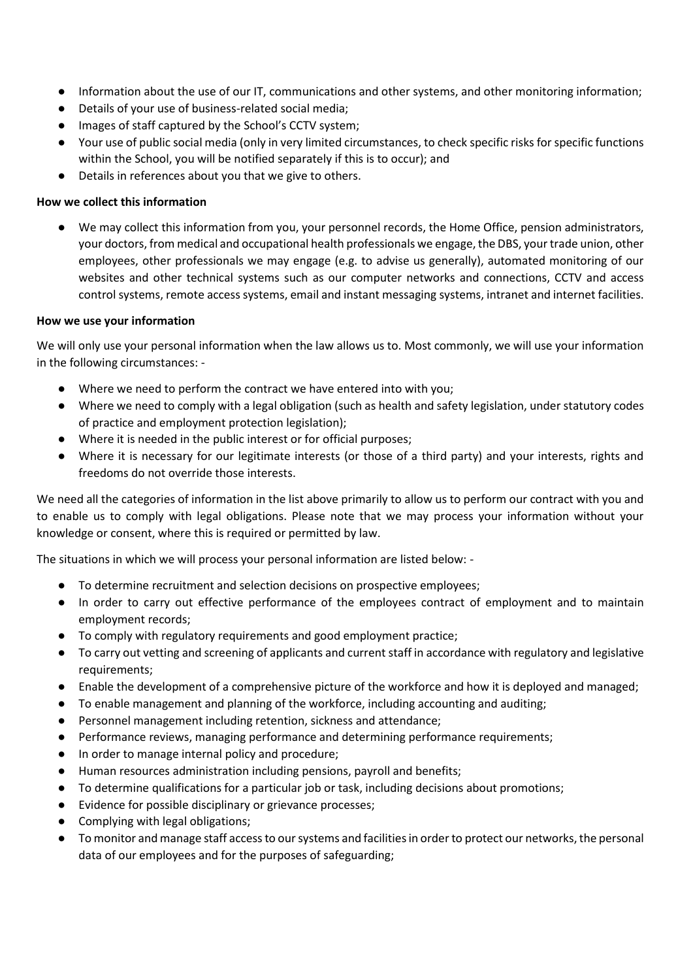- Information about the use of our IT, communications and other systems, and other monitoring information;
- Details of your use of business-related social media;
- Images of staff captured by the School's CCTV system;
- Your use of public social media (only in very limited circumstances, to check specific risks for specific functions within the School, you will be notified separately if this is to occur); and
- Details in references about you that we give to others.

### **How we collect this information**

● We may collect this information from you, your personnel records, the Home Office, pension administrators, your doctors, from medical and occupational health professionals we engage, the DBS, your trade union, other employees, other professionals we may engage (e.g. to advise us generally), automated monitoring of our websites and other technical systems such as our computer networks and connections, CCTV and access control systems, remote access systems, email and instant messaging systems, intranet and internet facilities.

#### **How we use your information**

We will only use your personal information when the law allows us to. Most commonly, we will use your information in the following circumstances: -

- Where we need to perform the contract we have entered into with you;
- Where we need to comply with a legal obligation (such as health and safety legislation, under statutory codes of practice and employment protection legislation);
- Where it is needed in the public interest or for official purposes;
- Where it is necessary for our legitimate interests (or those of a third party) and your interests, rights and freedoms do not override those interests.

We need all the categories of information in the list above primarily to allow us to perform our contract with you and to enable us to comply with legal obligations. Please note that we may process your information without your knowledge or consent, where this is required or permitted by law.

The situations in which we will process your personal information are listed below: -

- To determine recruitment and selection decisions on prospective employees;
- In order to carry out effective performance of the employees contract of employment and to maintain employment records;
- To comply with regulatory requirements and good employment practice;
- To carry out vetting and screening of applicants and current staff in accordance with regulatory and legislative requirements;
- Enable the development of a comprehensive picture of the workforce and how it is deployed and managed;
- To enable management and planning of the workforce, including accounting and auditing;
- Personnel management including retention, sickness and attendance;
- Performance reviews, managing performance and determining performance requirements;
- In order to manage internal policy and procedure;
- Human resources administration including pensions, payroll and benefits;
- To determine qualifications for a particular job or task, including decisions about promotions;
- Evidence for possible disciplinary or grievance processes;
- Complying with legal obligations;
- To monitor and manage staff access to our systems and facilities in order to protect our networks, the personal data of our employees and for the purposes of safeguarding;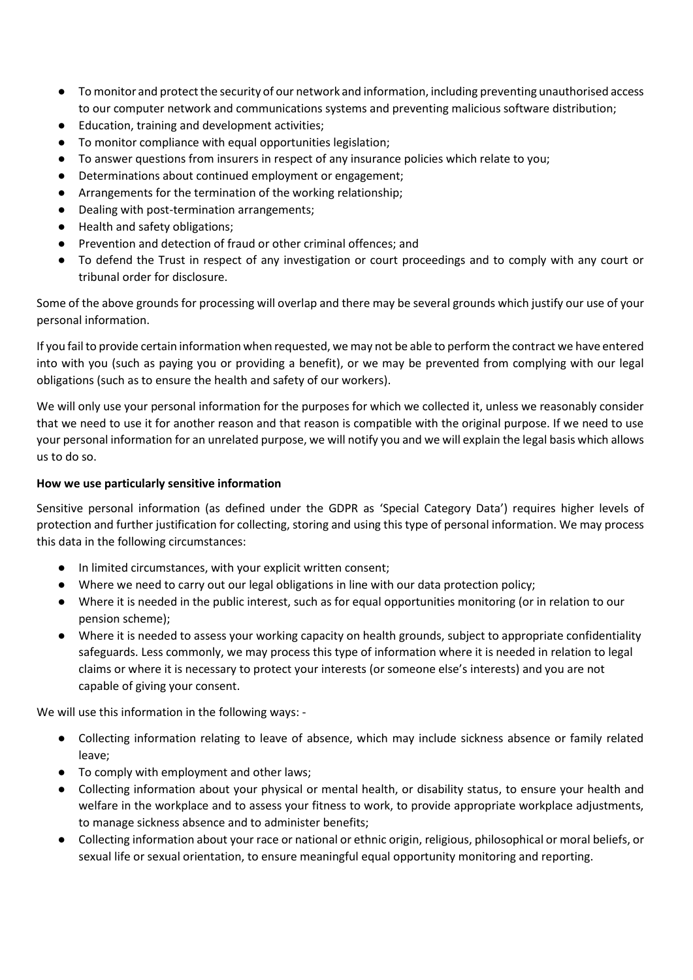- To monitor and protect the security of our network and information, including preventing unauthorised access to our computer network and communications systems and preventing malicious software distribution;
- Education, training and development activities;
- To monitor compliance with equal opportunities legislation;
- To answer questions from insurers in respect of any insurance policies which relate to you;
- Determinations about continued employment or engagement;
- Arrangements for the termination of the working relationship;
- Dealing with post-termination arrangements;
- Health and safety obligations;
- Prevention and detection of fraud or other criminal offences; and
- To defend the Trust in respect of any investigation or court proceedings and to comply with any court or tribunal order for disclosure.

Some of the above grounds for processing will overlap and there may be several grounds which justify our use of your personal information.

If you fail to provide certain information when requested, we may not be able to perform the contract we have entered into with you (such as paying you or providing a benefit), or we may be prevented from complying with our legal obligations (such as to ensure the health and safety of our workers).

We will only use your personal information for the purposes for which we collected it, unless we reasonably consider that we need to use it for another reason and that reason is compatible with the original purpose. If we need to use your personal information for an unrelated purpose, we will notify you and we will explain the legal basis which allows us to do so.

## **How we use particularly sensitive information**

Sensitive personal information (as defined under the GDPR as 'Special Category Data') requires higher levels of protection and further justification for collecting, storing and using this type of personal information. We may process this data in the following circumstances:

- In limited circumstances, with your explicit written consent;
- Where we need to carry out our legal obligations in line with our data protection policy;
- Where it is needed in the public interest, such as for equal opportunities monitoring (or in relation to our pension scheme);
- Where it is needed to assess your working capacity on health grounds, subject to appropriate confidentiality safeguards. Less commonly, we may process this type of information where it is needed in relation to legal claims or where it is necessary to protect your interests (or someone else's interests) and you are not capable of giving your consent.

We will use this information in the following ways: -

- Collecting information relating to leave of absence, which may include sickness absence or family related leave;
- To comply with employment and other laws;
- Collecting information about your physical or mental health, or disability status, to ensure your health and welfare in the workplace and to assess your fitness to work, to provide appropriate workplace adjustments, to manage sickness absence and to administer benefits;
- Collecting information about your race or national or ethnic origin, religious, philosophical or moral beliefs, or sexual life or sexual orientation, to ensure meaningful equal opportunity monitoring and reporting.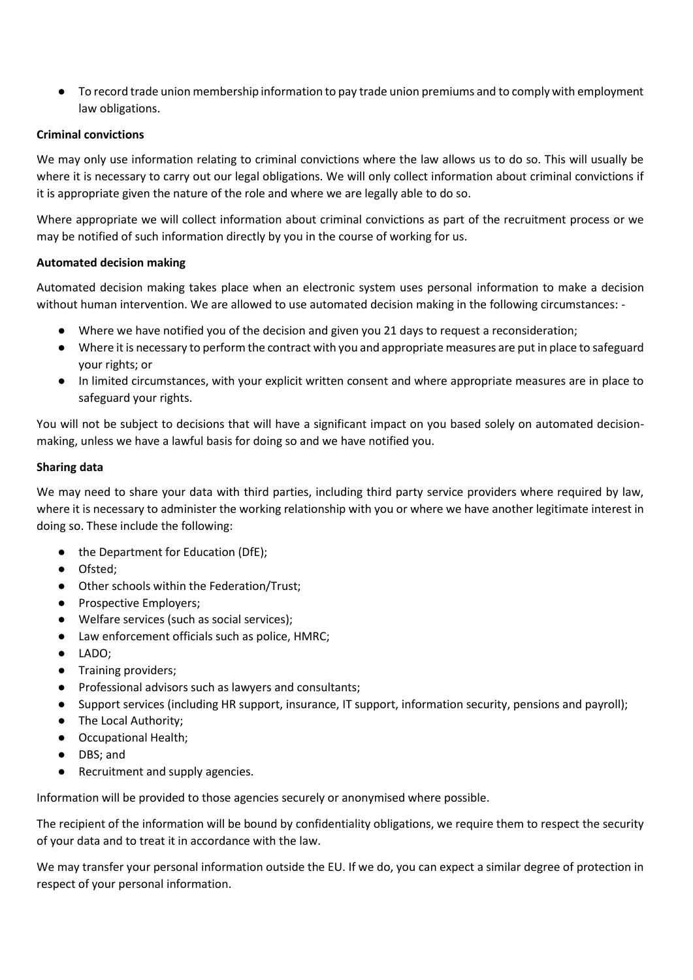● To record trade union membership information to pay trade union premiums and to comply with employment law obligations.

### **Criminal convictions**

We may only use information relating to criminal convictions where the law allows us to do so. This will usually be where it is necessary to carry out our legal obligations. We will only collect information about criminal convictions if it is appropriate given the nature of the role and where we are legally able to do so.

Where appropriate we will collect information about criminal convictions as part of the recruitment process or we may be notified of such information directly by you in the course of working for us.

### **Automated decision making**

Automated decision making takes place when an electronic system uses personal information to make a decision without human intervention. We are allowed to use automated decision making in the following circumstances: -

- Where we have notified you of the decision and given you 21 days to request a reconsideration;
- Where it is necessary to perform the contract with you and appropriate measures are put in place to safeguard your rights; or
- In limited circumstances, with your explicit written consent and where appropriate measures are in place to safeguard your rights.

You will not be subject to decisions that will have a significant impact on you based solely on automated decisionmaking, unless we have a lawful basis for doing so and we have notified you.

#### **Sharing data**

We may need to share your data with third parties, including third party service providers where required by law, where it is necessary to administer the working relationship with you or where we have another legitimate interest in doing so. These include the following:

- the Department for Education (DfE);
- Ofsted;
- Other schools within the Federation/Trust;
- Prospective Employers;
- Welfare services (such as social services);
- Law enforcement officials such as police, HMRC;
- LADO;
- Training providers;
- Professional advisors such as lawyers and consultants;
- Support services (including HR support, insurance, IT support, information security, pensions and payroll);
- The Local Authority;
- Occupational Health;
- DBS; and
- Recruitment and supply agencies.

Information will be provided to those agencies securely or anonymised where possible.

The recipient of the information will be bound by confidentiality obligations, we require them to respect the security of your data and to treat it in accordance with the law.

We may transfer your personal information outside the EU. If we do, you can expect a similar degree of protection in respect of your personal information.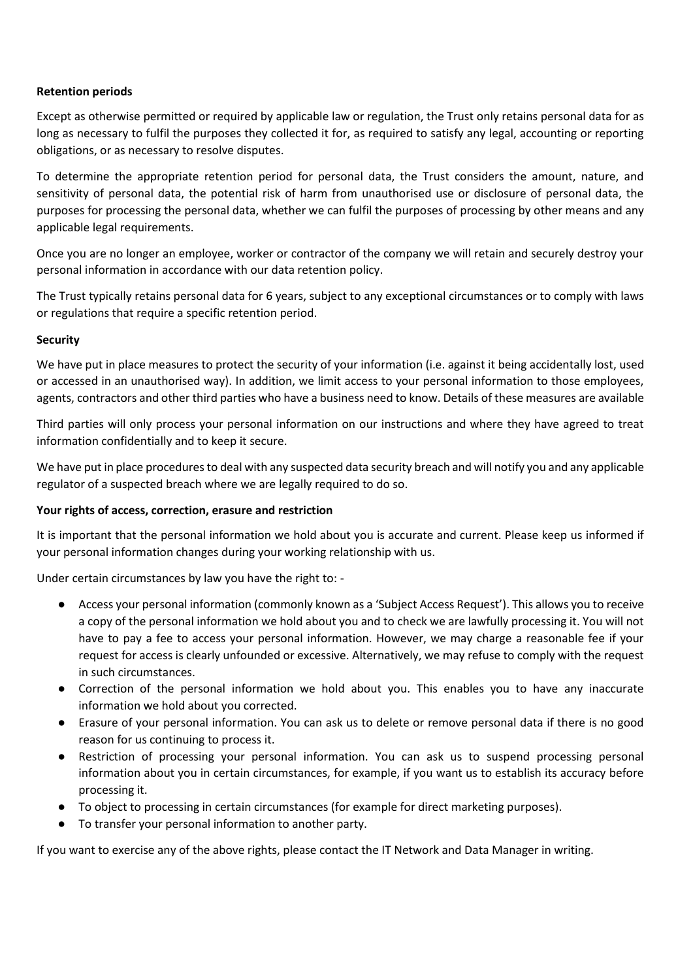### **Retention periods**

Except as otherwise permitted or required by applicable law or regulation, the Trust only retains personal data for as long as necessary to fulfil the purposes they collected it for, as required to satisfy any legal, accounting or reporting obligations, or as necessary to resolve disputes.

To determine the appropriate retention period for personal data, the Trust considers the amount, nature, and sensitivity of personal data, the potential risk of harm from unauthorised use or disclosure of personal data, the purposes for processing the personal data, whether we can fulfil the purposes of processing by other means and any applicable legal requirements.

Once you are no longer an employee, worker or contractor of the company we will retain and securely destroy your personal information in accordance with our data retention policy.

The Trust typically retains personal data for 6 years, subject to any exceptional circumstances or to comply with laws or regulations that require a specific retention period.

### **Security**

We have put in place measures to protect the security of your information (i.e. against it being accidentally lost, used or accessed in an unauthorised way). In addition, we limit access to your personal information to those employees, agents, contractors and other third parties who have a business need to know. Details of these measures are available

Third parties will only process your personal information on our instructions and where they have agreed to treat information confidentially and to keep it secure.

We have put in place procedures to deal with any suspected data security breach and will notify you and any applicable regulator of a suspected breach where we are legally required to do so.

#### **Your rights of access, correction, erasure and restriction**

It is important that the personal information we hold about you is accurate and current. Please keep us informed if your personal information changes during your working relationship with us.

Under certain circumstances by law you have the right to: -

- Access your personal information (commonly known as a 'Subject Access Request'). This allows you to receive a copy of the personal information we hold about you and to check we are lawfully processing it. You will not have to pay a fee to access your personal information. However, we may charge a reasonable fee if your request for access is clearly unfounded or excessive. Alternatively, we may refuse to comply with the request in such circumstances.
- Correction of the personal information we hold about you. This enables you to have any inaccurate information we hold about you corrected.
- Erasure of your personal information. You can ask us to delete or remove personal data if there is no good reason for us continuing to process it.
- Restriction of processing your personal information. You can ask us to suspend processing personal information about you in certain circumstances, for example, if you want us to establish its accuracy before processing it.
- To object to processing in certain circumstances (for example for direct marketing purposes).
- To transfer your personal information to another party.

If you want to exercise any of the above rights, please contact the IT Network and Data Manager in writing.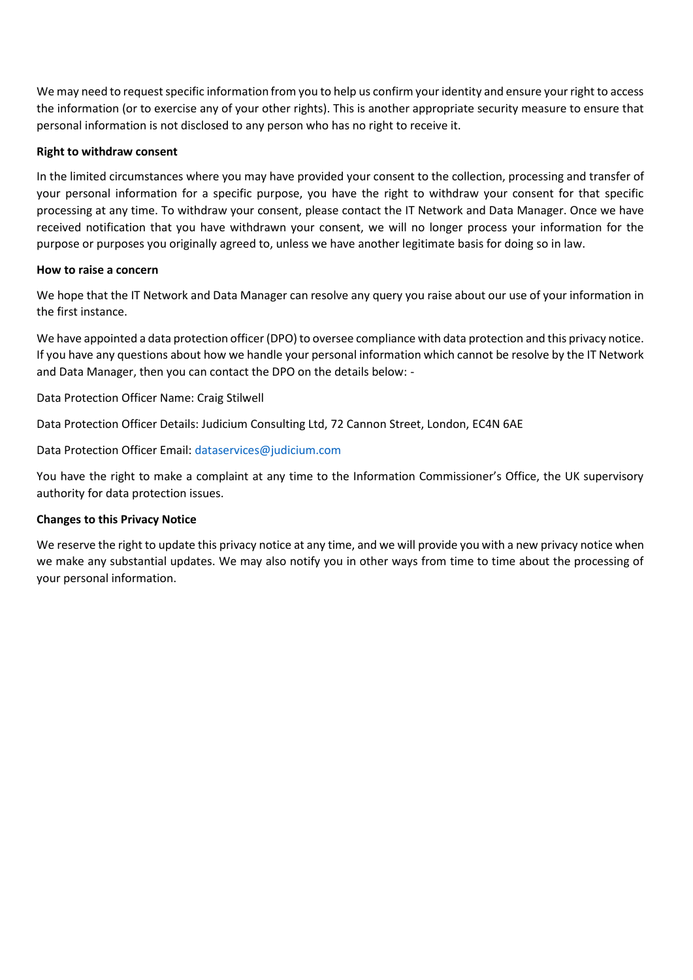We may need to request specific information from you to help us confirm your identity and ensure your right to access the information (or to exercise any of your other rights). This is another appropriate security measure to ensure that personal information is not disclosed to any person who has no right to receive it.

#### **Right to withdraw consent**

In the limited circumstances where you may have provided your consent to the collection, processing and transfer of your personal information for a specific purpose, you have the right to withdraw your consent for that specific processing at any time. To withdraw your consent, please contact the IT Network and Data Manager. Once we have received notification that you have withdrawn your consent, we will no longer process your information for the purpose or purposes you originally agreed to, unless we have another legitimate basis for doing so in law.

### **How to raise a concern**

We hope that the IT Network and Data Manager can resolve any query you raise about our use of your information in the first instance.

We have appointed a data protection officer (DPO) to oversee compliance with data protection and this privacy notice. If you have any questions about how we handle your personal information which cannot be resolve by the IT Network and Data Manager, then you can contact the DPO on the details below: -

Data Protection Officer Name: Craig Stilwell

Data Protection Officer Details: Judicium Consulting Ltd, 72 Cannon Street, London, EC4N 6AE

Data Protection Officer Email: [dataservices@judicium.com](mailto:dataservices@judicium.com)

You have the right to make a complaint at any time to the Information Commissioner's Office, the UK supervisory authority for data protection issues.

#### **Changes to this Privacy Notice**

We reserve the right to update this privacy notice at any time, and we will provide you with a new privacy notice when we make any substantial updates. We may also notify you in other ways from time to time about the processing of your personal information.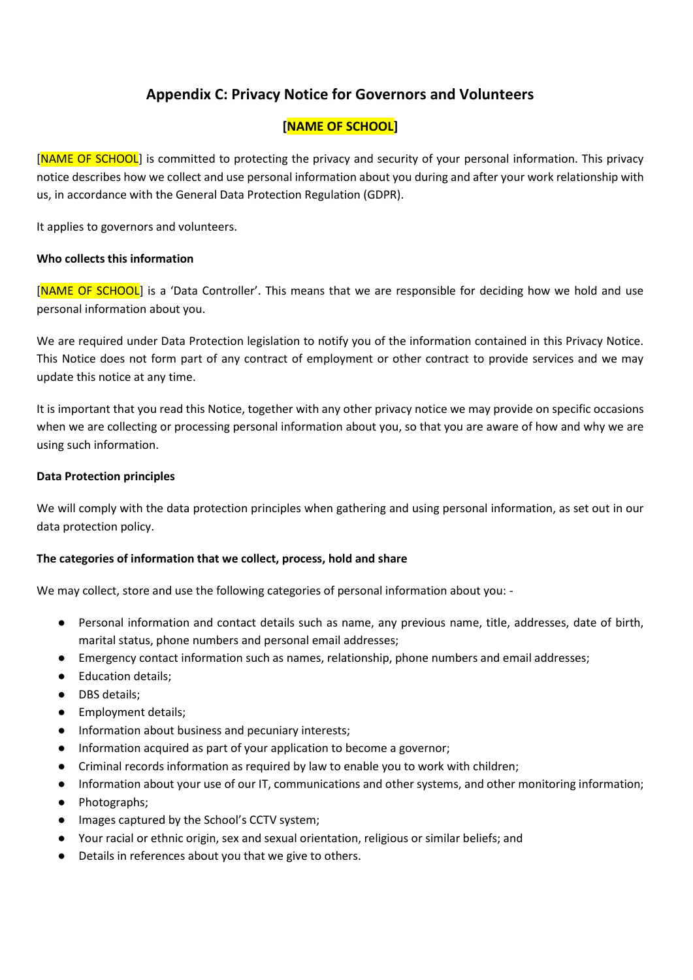# **Appendix C: Privacy Notice for Governors and Volunteers**

# **[NAME OF SCHOOL]**

[NAME OF SCHOOL] is committed to protecting the privacy and security of your personal information. This privacy notice describes how we collect and use personal information about you during and after your work relationship with us, in accordance with the General Data Protection Regulation (GDPR).

It applies to governors and volunteers.

### **Who collects this information**

[NAME OF SCHOOL] is a 'Data Controller'. This means that we are responsible for deciding how we hold and use personal information about you.

We are required under Data Protection legislation to notify you of the information contained in this Privacy Notice. This Notice does not form part of any contract of employment or other contract to provide services and we may update this notice at any time.

It is important that you read this Notice, together with any other privacy notice we may provide on specific occasions when we are collecting or processing personal information about you, so that you are aware of how and why we are using such information.

### **Data Protection principles**

We will comply with the data protection principles when gathering and using personal information, as set out in our data protection policy.

## **The categories of information that we collect, process, hold and share**

We may collect, store and use the following categories of personal information about you: -

- Personal information and contact details such as name, any previous name, title, addresses, date of birth, marital status, phone numbers and personal email addresses;
- Emergency contact information such as names, relationship, phone numbers and email addresses;
- Education details;
- DBS details;
- Employment details;
- Information about business and pecuniary interests;
- Information acquired as part of your application to become a governor;
- Criminal records information as required by law to enable you to work with children;
- Information about your use of our IT, communications and other systems, and other monitoring information;
- Photographs;
- Images captured by the School's CCTV system;
- Your racial or ethnic origin, sex and sexual orientation, religious or similar beliefs; and
- Details in references about you that we give to others.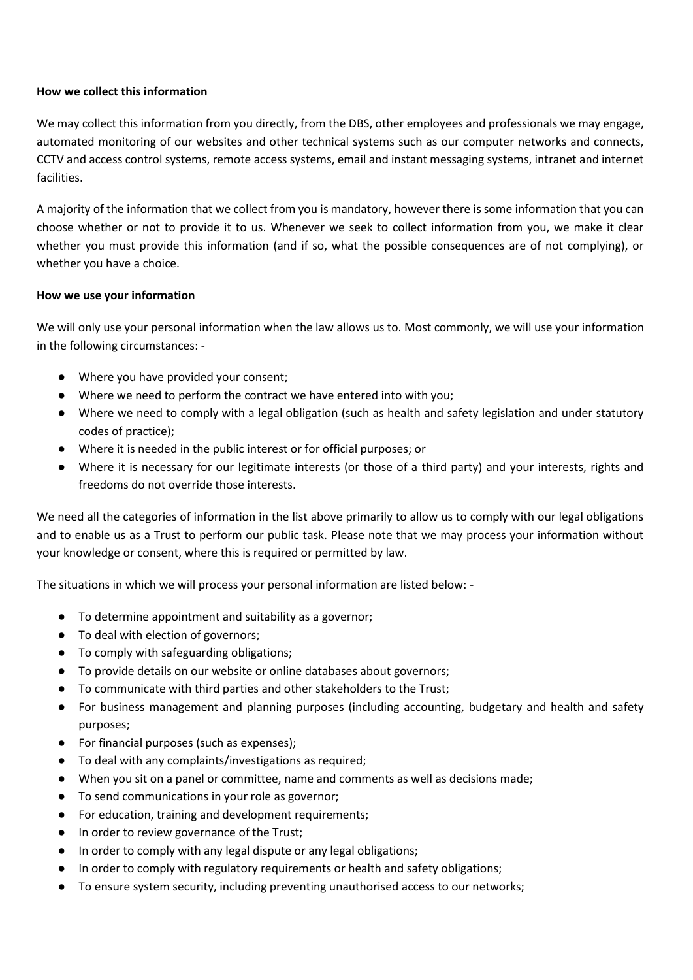#### **How we collect this information**

We may collect this information from you directly, from the DBS, other employees and professionals we may engage, automated monitoring of our websites and other technical systems such as our computer networks and connects, CCTV and access control systems, remote access systems, email and instant messaging systems, intranet and internet facilities.

A majority of the information that we collect from you is mandatory, however there is some information that you can choose whether or not to provide it to us. Whenever we seek to collect information from you, we make it clear whether you must provide this information (and if so, what the possible consequences are of not complying), or whether you have a choice.

### **How we use your information**

We will only use your personal information when the law allows us to. Most commonly, we will use your information in the following circumstances: -

- Where you have provided your consent;
- Where we need to perform the contract we have entered into with you;
- Where we need to comply with a legal obligation (such as health and safety legislation and under statutory codes of practice);
- Where it is needed in the public interest or for official purposes; or
- Where it is necessary for our legitimate interests (or those of a third party) and your interests, rights and freedoms do not override those interests.

We need all the categories of information in the list above primarily to allow us to comply with our legal obligations and to enable us as a Trust to perform our public task. Please note that we may process your information without your knowledge or consent, where this is required or permitted by law.

The situations in which we will process your personal information are listed below: -

- To determine appointment and suitability as a governor;
- To deal with election of governors;
- To comply with safeguarding obligations;
- To provide details on our website or online databases about governors;
- To communicate with third parties and other stakeholders to the Trust;
- For business management and planning purposes (including accounting, budgetary and health and safety purposes;
- For financial purposes (such as expenses);
- To deal with any complaints/investigations as required;
- When you sit on a panel or committee, name and comments as well as decisions made;
- To send communications in your role as governor;
- For education, training and development requirements;
- In order to review governance of the Trust;
- In order to comply with any legal dispute or any legal obligations;
- In order to comply with regulatory requirements or health and safety obligations;
- To ensure system security, including preventing unauthorised access to our networks;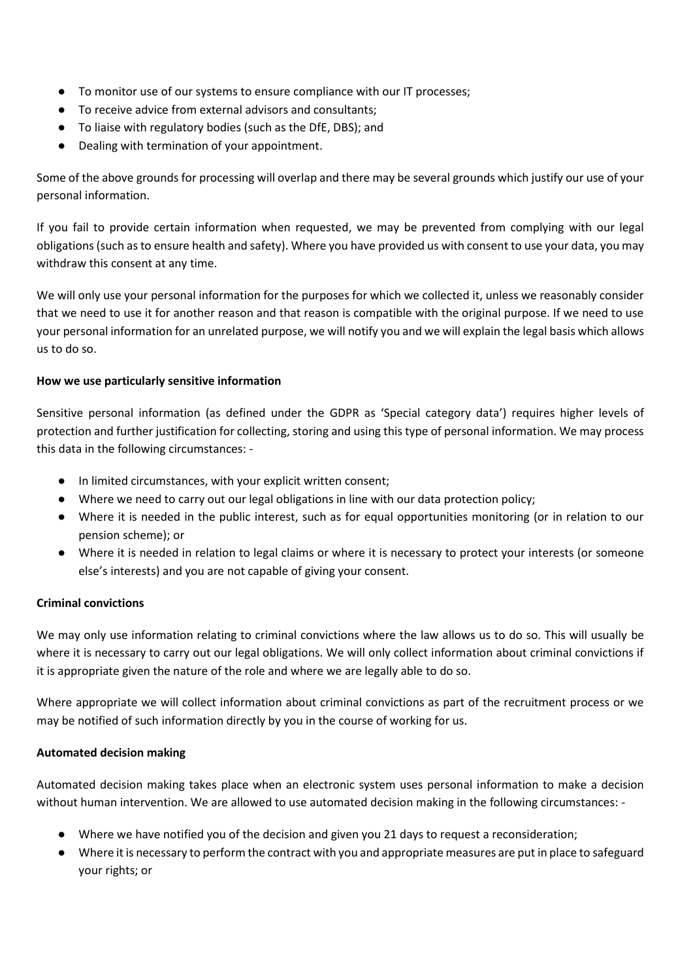- To monitor use of our systems to ensure compliance with our IT processes;
- To receive advice from external advisors and consultants;
- To liaise with regulatory bodies (such as the DfE, DBS); and
- Dealing with termination of your appointment.

Some of the above grounds for processing will overlap and there may be several grounds which justify our use of your personal information.

If you fail to provide certain information when requested, we may be prevented from complying with our legal obligations (such as to ensure health and safety). Where you have provided us with consent to use your data, you may withdraw this consent at any time.

We will only use your personal information for the purposes for which we collected it, unless we reasonably consider that we need to use it for another reason and that reason is compatible with the original purpose. If we need to use your personal information for an unrelated purpose, we will notify you and we will explain the legal basis which allows us to do so.

## **How we use particularly sensitive information**

Sensitive personal information (as defined under the GDPR as 'Special category data') requires higher levels of protection and further justification for collecting, storing and using this type of personal information. We may process this data in the following circumstances: -

- In limited circumstances, with your explicit written consent;
- Where we need to carry out our legal obligations in line with our data protection policy;
- Where it is needed in the public interest, such as for equal opportunities monitoring (or in relation to our pension scheme); or
- Where it is needed in relation to legal claims or where it is necessary to protect your interests (or someone else's interests) and you are not capable of giving your consent.

## **Criminal convictions**

We may only use information relating to criminal convictions where the law allows us to do so. This will usually be where it is necessary to carry out our legal obligations. We will only collect information about criminal convictions if it is appropriate given the nature of the role and where we are legally able to do so.

Where appropriate we will collect information about criminal convictions as part of the recruitment process or we may be notified of such information directly by you in the course of working for us.

## **Automated decision making**

Automated decision making takes place when an electronic system uses personal information to make a decision without human intervention. We are allowed to use automated decision making in the following circumstances: -

- Where we have notified you of the decision and given you 21 days to request a reconsideration;
- Where it is necessary to perform the contract with you and appropriate measures are put in place to safeguard your rights; or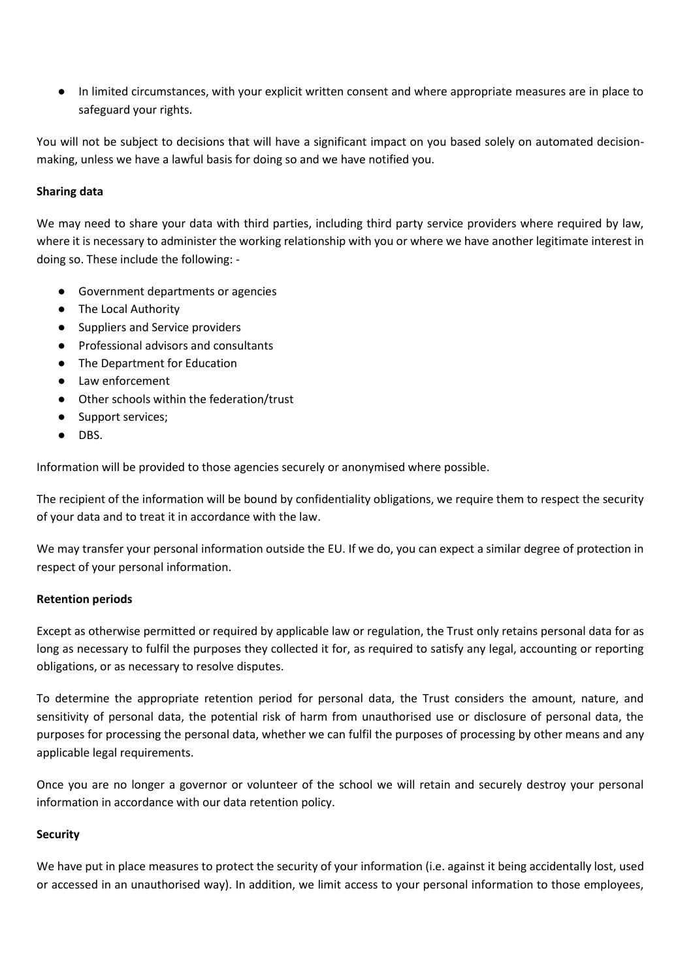● In limited circumstances, with your explicit written consent and where appropriate measures are in place to safeguard your rights.

You will not be subject to decisions that will have a significant impact on you based solely on automated decisionmaking, unless we have a lawful basis for doing so and we have notified you.

## **Sharing data**

We may need to share your data with third parties, including third party service providers where required by law, where it is necessary to administer the working relationship with you or where we have another legitimate interest in doing so. These include the following: -

- Government departments or agencies
- The Local Authority
- Suppliers and Service providers
- Professional advisors and consultants
- The Department for Education
- Law enforcement
- Other schools within the federation/trust
- Support services;
- DBS.

Information will be provided to those agencies securely or anonymised where possible.

The recipient of the information will be bound by confidentiality obligations, we require them to respect the security of your data and to treat it in accordance with the law.

We may transfer your personal information outside the EU. If we do, you can expect a similar degree of protection in respect of your personal information.

#### **Retention periods**

Except as otherwise permitted or required by applicable law or regulation, the Trust only retains personal data for as long as necessary to fulfil the purposes they collected it for, as required to satisfy any legal, accounting or reporting obligations, or as necessary to resolve disputes.

To determine the appropriate retention period for personal data, the Trust considers the amount, nature, and sensitivity of personal data, the potential risk of harm from unauthorised use or disclosure of personal data, the purposes for processing the personal data, whether we can fulfil the purposes of processing by other means and any applicable legal requirements.

Once you are no longer a governor or volunteer of the school we will retain and securely destroy your personal information in accordance with our data retention policy.

## **Security**

We have put in place measures to protect the security of your information (i.e. against it being accidentally lost, used or accessed in an unauthorised way). In addition, we limit access to your personal information to those employees,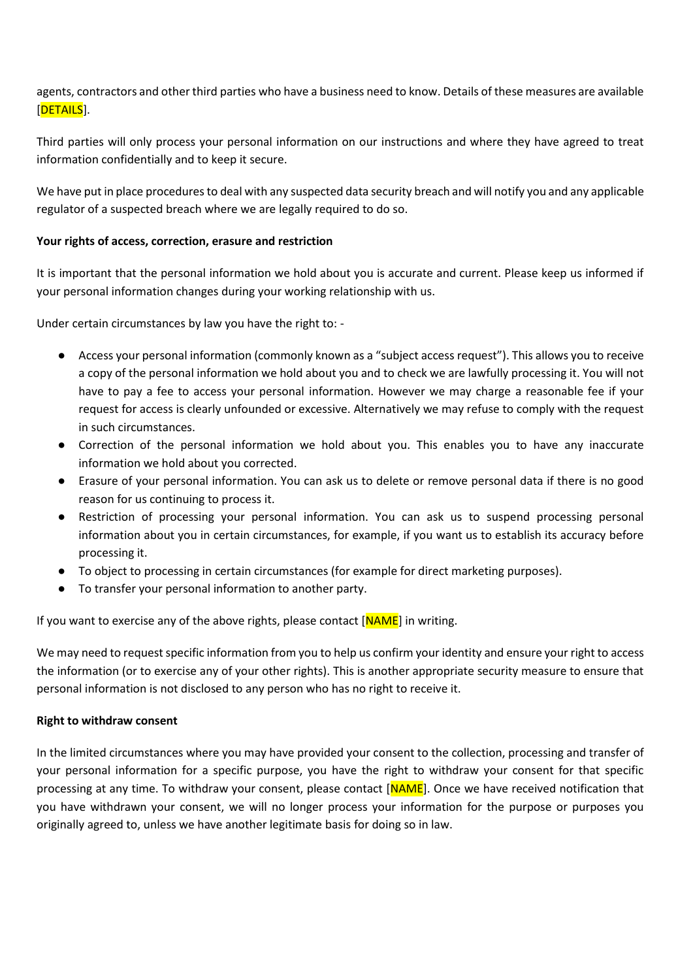agents, contractors and other third parties who have a business need to know. Details of these measures are available [DETAILS].

Third parties will only process your personal information on our instructions and where they have agreed to treat information confidentially and to keep it secure.

We have put in place procedures to deal with any suspected data security breach and will notify you and any applicable regulator of a suspected breach where we are legally required to do so.

## **Your rights of access, correction, erasure and restriction**

It is important that the personal information we hold about you is accurate and current. Please keep us informed if your personal information changes during your working relationship with us.

Under certain circumstances by law you have the right to: -

- Access your personal information (commonly known as a "subject access request"). This allows you to receive a copy of the personal information we hold about you and to check we are lawfully processing it. You will not have to pay a fee to access your personal information. However we may charge a reasonable fee if your request for access is clearly unfounded or excessive. Alternatively we may refuse to comply with the request in such circumstances.
- Correction of the personal information we hold about you. This enables you to have any inaccurate information we hold about you corrected.
- Erasure of your personal information. You can ask us to delete or remove personal data if there is no good reason for us continuing to process it.
- Restriction of processing your personal information. You can ask us to suspend processing personal information about you in certain circumstances, for example, if you want us to establish its accuracy before processing it.
- To object to processing in certain circumstances (for example for direct marketing purposes).
- To transfer your personal information to another party.

If you want to exercise any of the above rights, please contact  $[NAME]$  in writing.

We may need to request specific information from you to help us confirm your identity and ensure your right to access the information (or to exercise any of your other rights). This is another appropriate security measure to ensure that personal information is not disclosed to any person who has no right to receive it.

#### **Right to withdraw consent**

In the limited circumstances where you may have provided your consent to the collection, processing and transfer of your personal information for a specific purpose, you have the right to withdraw your consent for that specific processing at any time. To withdraw your consent, please contact [NAME]. Once we have received notification that you have withdrawn your consent, we will no longer process your information for the purpose or purposes you originally agreed to, unless we have another legitimate basis for doing so in law.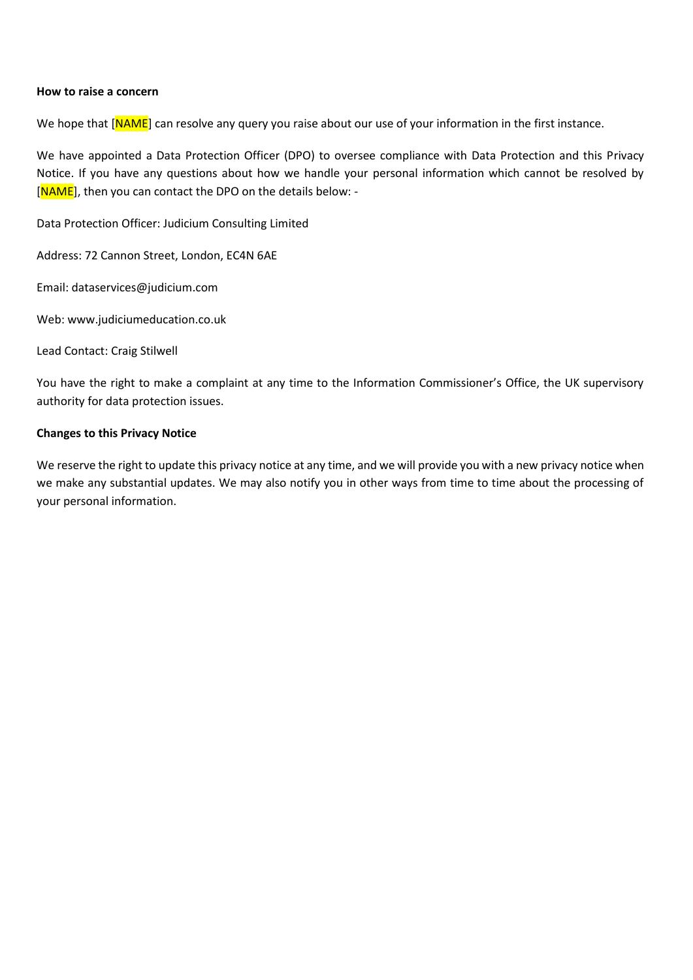#### **How to raise a concern**

We hope that [NAME] can resolve any query you raise about our use of your information in the first instance.

We have appointed a Data Protection Officer (DPO) to oversee compliance with Data Protection and this Privacy Notice. If you have any questions about how we handle your personal information which cannot be resolved by [NAME], then you can contact the DPO on the details below: -

Data Protection Officer: Judicium Consulting Limited

Address: 72 Cannon Street, London, EC4N 6AE

Email: dataservices@judicium.com

Web: www.judiciumeducation.co.uk

Lead Contact: Craig Stilwell

You have the right to make a complaint at any time to the Information Commissioner's Office, the UK supervisory authority for data protection issues.

#### **Changes to this Privacy Notice**

We reserve the right to update this privacy notice at any time, and we will provide you with a new privacy notice when we make any substantial updates. We may also notify you in other ways from time to time about the processing of your personal information.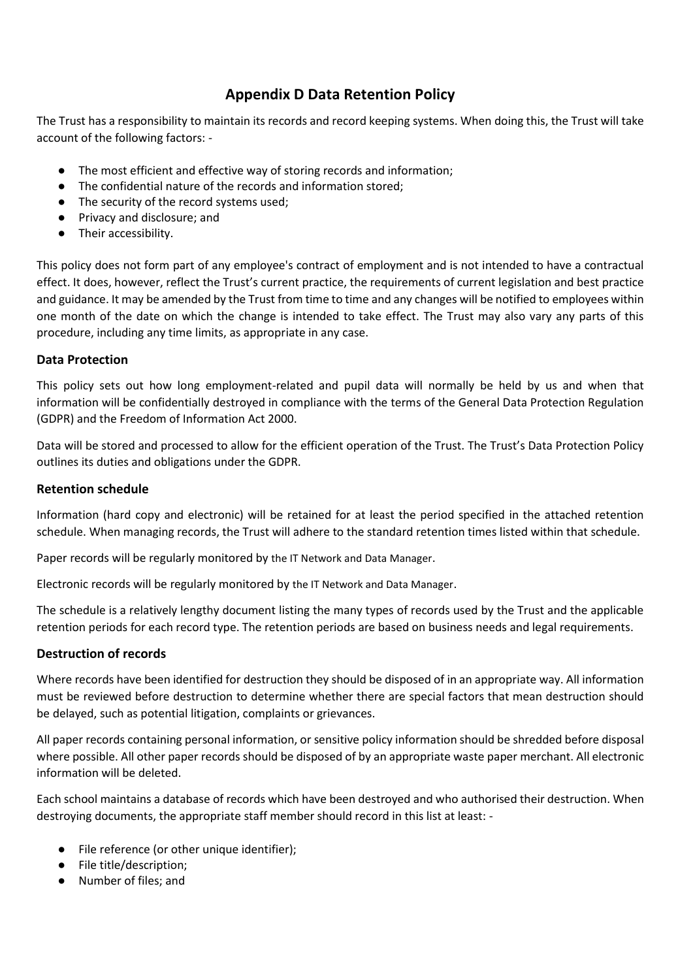# **Appendix D Data Retention Policy**

The Trust has a responsibility to maintain its records and record keeping systems. When doing this, the Trust will take account of the following factors: -

- The most efficient and effective way of storing records and information;
- The confidential nature of the records and information stored;
- The security of the record systems used;
- Privacy and disclosure; and
- Their accessibility.

This policy does not form part of any employee's contract of employment and is not intended to have a contractual effect. It does, however, reflect the Trust's current practice, the requirements of current legislation and best practice and guidance. It may be amended by the Trust from time to time and any changes will be notified to employees within one month of the date on which the change is intended to take effect. The Trust may also vary any parts of this procedure, including any time limits, as appropriate in any case.

## **Data Protection**

This policy sets out how long employment-related and pupil data will normally be held by us and when that information will be confidentially destroyed in compliance with the terms of the General Data Protection Regulation (GDPR) and the Freedom of Information Act 2000.

Data will be stored and processed to allow for the efficient operation of the Trust. The Trust's Data Protection Policy outlines its duties and obligations under the GDPR.

## **Retention schedule**

Information (hard copy and electronic) will be retained for at least the period specified in the attached retention schedule. When managing records, the Trust will adhere to the standard retention times listed within that schedule.

Paper records will be regularly monitored by the IT Network and Data Manager.

Electronic records will be regularly monitored by the IT Network and Data Manager.

The schedule is a relatively lengthy document listing the many types of records used by the Trust and the applicable retention periods for each record type. The retention periods are based on business needs and legal requirements.

## **Destruction of records**

Where records have been identified for destruction they should be disposed of in an appropriate way. All information must be reviewed before destruction to determine whether there are special factors that mean destruction should be delayed, such as potential litigation, complaints or grievances.

All paper records containing personal information, or sensitive policy information should be shredded before disposal where possible. All other paper records should be disposed of by an appropriate waste paper merchant. All electronic information will be deleted.

Each school maintains a database of records which have been destroyed and who authorised their destruction. When destroying documents, the appropriate staff member should record in this list at least: -

- File reference (or other unique identifier);
- File title/description;
- Number of files; and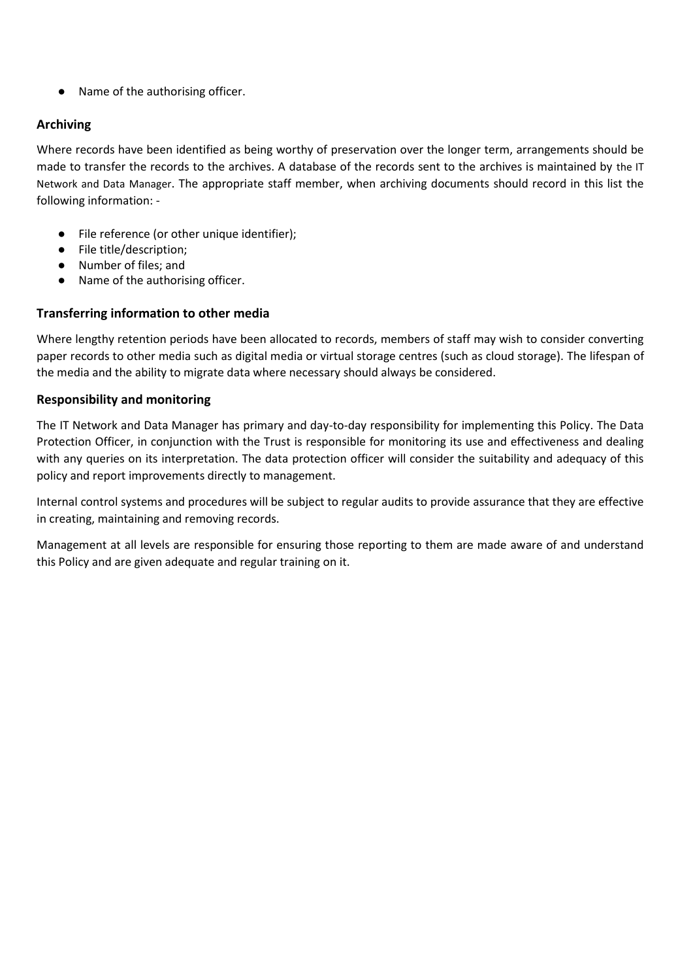● Name of the authorising officer.

## **Archiving**

Where records have been identified as being worthy of preservation over the longer term, arrangements should be made to transfer the records to the archives. A database of the records sent to the archives is maintained by the IT Network and Data Manager. The appropriate staff member, when archiving documents should record in this list the following information: -

- File reference (or other unique identifier);
- File title/description;
- Number of files; and
- Name of the authorising officer.

## **Transferring information to other media**

Where lengthy retention periods have been allocated to records, members of staff may wish to consider converting paper records to other media such as digital media or virtual storage centres (such as cloud storage). The lifespan of the media and the ability to migrate data where necessary should always be considered.

### **Responsibility and monitoring**

The IT Network and Data Manager has primary and day-to-day responsibility for implementing this Policy. The Data Protection Officer, in conjunction with the Trust is responsible for monitoring its use and effectiveness and dealing with any queries on its interpretation. The data protection officer will consider the suitability and adequacy of this policy and report improvements directly to management.

Internal control systems and procedures will be subject to regular audits to provide assurance that they are effective in creating, maintaining and removing records.

Management at all levels are responsible for ensuring those reporting to them are made aware of and understand this Policy and are given adequate and regular training on it.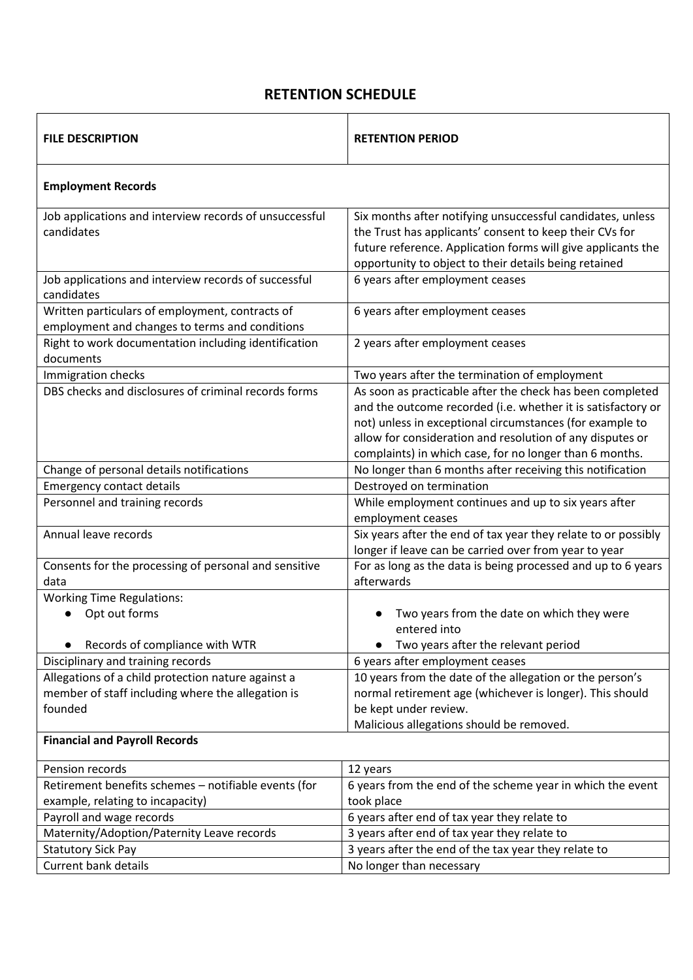# **RETENTION SCHEDULE**

| <b>FILE DESCRIPTION</b>                                                                                            | <b>RETENTION PERIOD</b>                                                                                                                                                                                                                                                                                       |
|--------------------------------------------------------------------------------------------------------------------|---------------------------------------------------------------------------------------------------------------------------------------------------------------------------------------------------------------------------------------------------------------------------------------------------------------|
| <b>Employment Records</b>                                                                                          |                                                                                                                                                                                                                                                                                                               |
| Job applications and interview records of unsuccessful<br>candidates                                               | Six months after notifying unsuccessful candidates, unless<br>the Trust has applicants' consent to keep their CVs for<br>future reference. Application forms will give applicants the<br>opportunity to object to their details being retained                                                                |
| Job applications and interview records of successful<br>candidates                                                 | 6 years after employment ceases                                                                                                                                                                                                                                                                               |
| Written particulars of employment, contracts of<br>employment and changes to terms and conditions                  | 6 years after employment ceases                                                                                                                                                                                                                                                                               |
| Right to work documentation including identification<br>documents                                                  | 2 years after employment ceases                                                                                                                                                                                                                                                                               |
| Immigration checks                                                                                                 | Two years after the termination of employment                                                                                                                                                                                                                                                                 |
| DBS checks and disclosures of criminal records forms                                                               | As soon as practicable after the check has been completed<br>and the outcome recorded (i.e. whether it is satisfactory or<br>not) unless in exceptional circumstances (for example to<br>allow for consideration and resolution of any disputes or<br>complaints) in which case, for no longer than 6 months. |
| Change of personal details notifications                                                                           | No longer than 6 months after receiving this notification                                                                                                                                                                                                                                                     |
| <b>Emergency contact details</b>                                                                                   | Destroyed on termination                                                                                                                                                                                                                                                                                      |
| Personnel and training records                                                                                     | While employment continues and up to six years after<br>employment ceases                                                                                                                                                                                                                                     |
| Annual leave records                                                                                               | Six years after the end of tax year they relate to or possibly<br>longer if leave can be carried over from year to year                                                                                                                                                                                       |
| Consents for the processing of personal and sensitive<br>data                                                      | For as long as the data is being processed and up to 6 years<br>afterwards                                                                                                                                                                                                                                    |
| <b>Working Time Regulations:</b><br>Opt out forms                                                                  | Two years from the date on which they were<br>entered into                                                                                                                                                                                                                                                    |
| Records of compliance with WTR                                                                                     | Two years after the relevant period                                                                                                                                                                                                                                                                           |
| Disciplinary and training records                                                                                  | 6 years after employment ceases                                                                                                                                                                                                                                                                               |
| Allegations of a child protection nature against a<br>member of staff including where the allegation is<br>founded | 10 years from the date of the allegation or the person's<br>normal retirement age (whichever is longer). This should<br>be kept under review.                                                                                                                                                                 |
| Malicious allegations should be removed.<br><b>Financial and Payroll Records</b>                                   |                                                                                                                                                                                                                                                                                                               |
| Pension records                                                                                                    | 12 years                                                                                                                                                                                                                                                                                                      |
| Retirement benefits schemes - notifiable events (for                                                               | 6 years from the end of the scheme year in which the event                                                                                                                                                                                                                                                    |
| example, relating to incapacity)                                                                                   | took place                                                                                                                                                                                                                                                                                                    |
| Payroll and wage records                                                                                           | 6 years after end of tax year they relate to                                                                                                                                                                                                                                                                  |
| Maternity/Adoption/Paternity Leave records                                                                         | 3 years after end of tax year they relate to                                                                                                                                                                                                                                                                  |
| <b>Statutory Sick Pay</b>                                                                                          | 3 years after the end of the tax year they relate to                                                                                                                                                                                                                                                          |
| <b>Current bank details</b>                                                                                        | No longer than necessary                                                                                                                                                                                                                                                                                      |